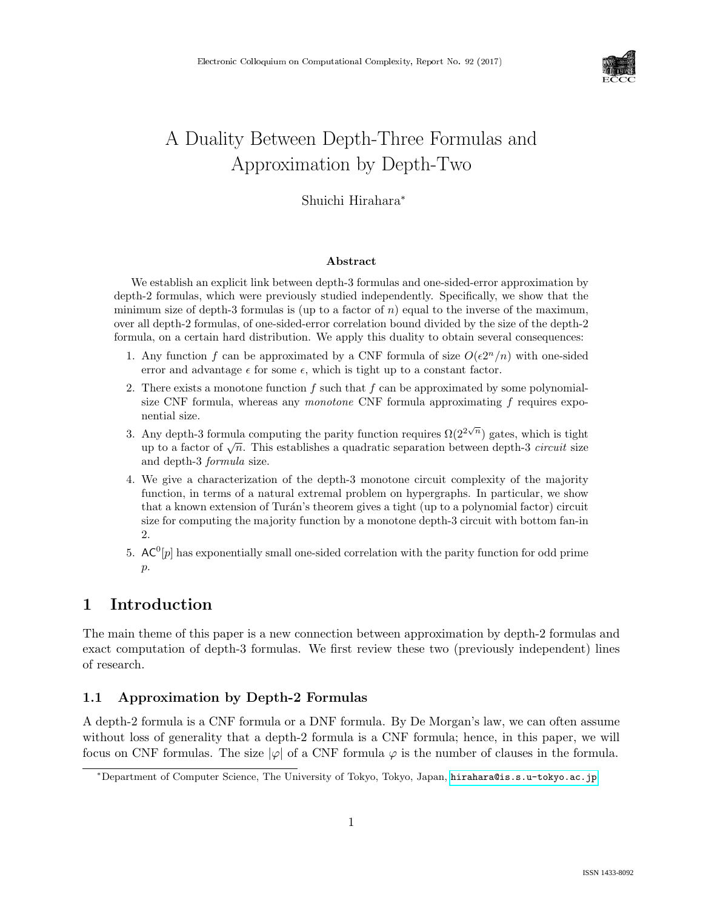

# A Duality Between Depth-Three Formulas and Approximation by Depth-Two

# Shuichi Hirahara<sup>∗</sup>

### Abstract

We establish an explicit link between depth-3 formulas and one-sided-error approximation by depth-2 formulas, which were previously studied independently. Specifically, we show that the minimum size of depth-3 formulas is (up to a factor of  $n$ ) equal to the inverse of the maximum, over all depth-2 formulas, of one-sided-error correlation bound divided by the size of the depth-2 formula, on a certain hard distribution. We apply this duality to obtain several consequences:

- 1. Any function f can be approximated by a CNF formula of size  $O(\epsilon 2^n/n)$  with one-sided error and advantage  $\epsilon$  for some  $\epsilon$ , which is tight up to a constant factor.
- 2. There exists a monotone function f such that f can be approximated by some polynomialsize CNF formula, whereas any monotone CNF formula approximating f requires exponential size.
- 3. Any depth-3 formula computing the parity function requires  $\Omega(2^{2\sqrt{n}})$  gates, which is tight Any depth-3 formula computing the partly function requires  $\Omega(Z \rightarrow )$  gates, which is tight<br>up to a factor of  $\sqrt{n}$ . This establishes a quadratic separation between depth-3 *circuit* size and depth-3 formula size.
- 4. We give a characterization of the depth-3 monotone circuit complexity of the majority function, in terms of a natural extremal problem on hypergraphs. In particular, we show that a known extension of Turán's theorem gives a tight (up to a polynomial factor) circuit size for computing the majority function by a monotone depth-3 circuit with bottom fan-in 2.
- 5.  $AC^0[p]$  has exponentially small one-sided correlation with the parity function for odd prime  $p$ .

# 1 Introduction

The main theme of this paper is a new connection between approximation by depth-2 formulas and exact computation of depth-3 formulas. We first review these two (previously independent) lines of research.

### 1.1 Approximation by Depth-2 Formulas

A depth-2 formula is a CNF formula or a DNF formula. By De Morgan's law, we can often assume without loss of generality that a depth-2 formula is a CNF formula; hence, in this paper, we will focus on CNF formulas. The size  $|\varphi|$  of a CNF formula  $\varphi$  is the number of clauses in the formula.

<sup>∗</sup>Department of Computer Science, The University of Tokyo, Tokyo, Japan, [hirahara@is.s.u-tokyo.ac.jp](mailto:hirahara@is.s.u-tokyo.ac.jp)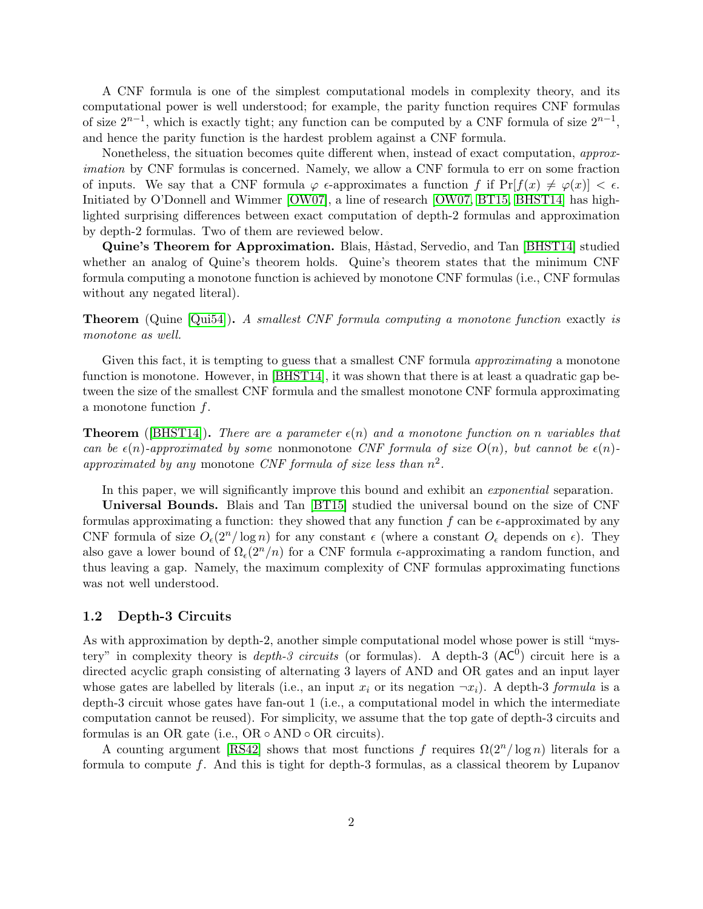A CNF formula is one of the simplest computational models in complexity theory, and its computational power is well understood; for example, the parity function requires CNF formulas of size  $2^{n-1}$ , which is exactly tight; any function can be computed by a CNF formula of size  $2^{n-1}$ , and hence the parity function is the hardest problem against a CNF formula.

Nonetheless, the situation becomes quite different when, instead of exact computation, approximation by CNF formulas is concerned. Namely, we allow a CNF formula to err on some fraction of inputs. We say that a CNF formula  $\varphi$   $\epsilon$ -approximates a function f if  $Pr[f(x) \neq \varphi(x)] < \epsilon$ . Initiated by O'Donnell and Wimmer [\[OW07\]](#page-21-0), a line of research [\[OW07,](#page-21-0) [BT15,](#page-19-0) [BHST14\]](#page-19-1) has highlighted surprising differences between exact computation of depth-2 formulas and approximation by depth-2 formulas. Two of them are reviewed below.

Quine's Theorem for Approximation. Blais, Håstad, Servedio, and Tan [\[BHST14\]](#page-19-1) studied whether an analog of Quine's theorem holds. Quine's theorem states that the minimum CNF formula computing a monotone function is achieved by monotone CNF formulas (i.e., CNF formulas without any negated literal).

Theorem (Quine [\[Qui54\]](#page-21-1)). A smallest CNF formula computing a monotone function exactly is monotone as well.

Given this fact, it is tempting to guess that a smallest CNF formula *approximating* a monotone function is monotone. However, in [\[BHST14\]](#page-19-1), it was shown that there is at least a quadratic gap between the size of the smallest CNF formula and the smallest monotone CNF formula approximating a monotone function  $f$ .

**Theorem** ([\[BHST14\]](#page-19-1)). There are a parameter  $\epsilon(n)$  and a monotone function on n variables that can be  $\epsilon(n)$ -approximated by some nonmonotone CNF formula of size  $O(n)$ , but cannot be  $\epsilon(n)$ approximated by any monotone CNF formula of size less than  $n^2$ .

In this paper, we will significantly improve this bound and exhibit an *exponential* separation.

Universal Bounds. Blais and Tan [\[BT15\]](#page-19-0) studied the universal bound on the size of CNF formulas approximating a function: they showed that any function f can be  $\epsilon$ -approximated by any CNF formula of size  $O_e(2^n/\log n)$  for any constant  $\epsilon$  (where a constant  $O_e$  depends on  $\epsilon$ ). They also gave a lower bound of  $\Omega_{\epsilon}(2^{n}/n)$  for a CNF formula  $\epsilon$ -approximating a random function, and thus leaving a gap. Namely, the maximum complexity of CNF formulas approximating functions was not well understood.

### 1.2 Depth-3 Circuits

As with approximation by depth-2, another simple computational model whose power is still "mystery" in complexity theory is *depth-3 circuits* (or formulas). A depth-3  $(AC^0)$  circuit here is a directed acyclic graph consisting of alternating 3 layers of AND and OR gates and an input layer whose gates are labelled by literals (i.e., an input  $x_i$  or its negation  $\neg x_i$ ). A depth-3 formula is a depth-3 circuit whose gates have fan-out 1 (i.e., a computational model in which the intermediate computation cannot be reused). For simplicity, we assume that the top gate of depth-3 circuits and formulas is an OR gate (i.e.,  $OR \circ AND \circ OR$  circuits).

A counting argument [\[RS42\]](#page-21-2) shows that most functions f requires  $\Omega(2^n/\log n)$  literals for a formula to compute f. And this is tight for depth-3 formulas, as a classical theorem by Lupanov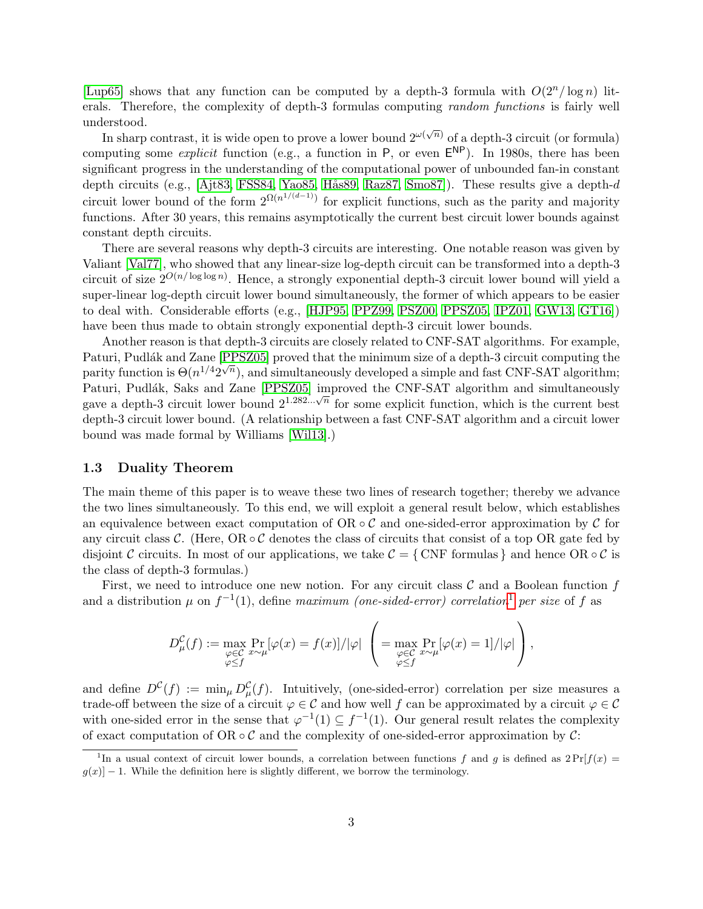[\[Lup65\]](#page-21-3) shows that any function can be computed by a depth-3 formula with  $O(2^n/\log n)$  literals. Therefore, the complexity of depth-3 formulas computing *random functions* is fairly well understood.

In sharp contrast, it is wide open to prove a lower bound  $2^{\omega(\sqrt{n})}$  of a depth-3 circuit (or formula) computing some *explicit* function (e.g., a function in  $P$ , or even  $E^{NP}$ ). In 1980s, there has been significant progress in the understanding of the computational power of unbounded fan-in constant depth circuits (e.g., [\[Ajt83,](#page-19-2) [FSS84,](#page-20-0) [Yao85,](#page--1-0) Hås89, [Raz87,](#page-21-4) [Smo87\]](#page--1-1)). These results give a depth- $d$ circuit lower bound of the form  $2^{\Omega(n^{1/(d-1)})}$  for explicit functions, such as the parity and majority functions. After 30 years, this remains asymptotically the current best circuit lower bounds against constant depth circuits.

There are several reasons why depth-3 circuits are interesting. One notable reason was given by Valiant [\[Val77\]](#page--1-2), who showed that any linear-size log-depth circuit can be transformed into a depth-3 circuit of size  $2^{O(n/\log \log n)}$ . Hence, a strongly exponential depth-3 circuit lower bound will yield a super-linear log-depth circuit lower bound simultaneously, the former of which appears to be easier to deal with. Considerable efforts (e.g., [\[HJP95,](#page-20-2) [PPZ99,](#page-21-5) [PSZ00,](#page-21-6) [PPSZ05,](#page-21-7) [IPZ01,](#page-20-3) [GW13,](#page-20-4) [GT16\]](#page-20-5)) have been thus made to obtain strongly exponential depth-3 circuit lower bounds.

Another reason is that depth-3 circuits are closely related to CNF-SAT algorithms. For example, Paturi, Pudlák and Zane [\[PPSZ05\]](#page-21-7) proved that the minimum size of a depth-3 circuit computing the parity function is  $\Theta(n^{1/4}2^{\sqrt{n}})$ , and simultaneously developed a simple and fast CNF-SAT algorithm; Paturi, Pudlák, Saks and Zane [\[PPSZ05\]](#page-21-7) improved the CNF-SAT algorithm and simultaneously r aturi, I dular, bars and zane [1 B200] improved the CNT-5A1 algorithm and simultaneously gave a depth-3 circuit lower bound  $2^{1.282\dots\sqrt{n}}$  for some explicit function, which is the current best depth-3 circuit lower bound. (A relationship between a fast CNF-SAT algorithm and a circuit lower bound was made formal by Williams [\[Wil13\]](#page--1-3).)

### 1.3 Duality Theorem

The main theme of this paper is to weave these two lines of research together; thereby we advance the two lines simultaneously. To this end, we will exploit a general result below, which establishes an equivalence between exact computation of  $OR \circ C$  and one-sided-error approximation by C for any circuit class C. (Here,  $OR \circ C$  denotes the class of circuits that consist of a top OR gate fed by disjoint C circuits. In most of our applications, we take  $C = \{ CNF \text{ formulas } \}$  and hence  $OR \circ C$  is the class of depth-3 formulas.)

First, we need to introduce one new notion. For any circuit class  $\mathcal C$  and a Boolean function  $f$ and a distribution  $\mu$  on  $f^{-1}(1)$  $f^{-1}(1)$  $f^{-1}(1)$ , define maximum (one-sided-error) correlation<sup>1</sup> per size of f as

$$
D^{\mathcal{C}}_{\mu}(f) := \max_{\substack{\varphi \in \mathcal{C} \\ \varphi \le f}} \Pr_{x \sim \mu}[\varphi(x) = f(x)] / |\varphi| \left( = \max_{\substack{\varphi \in \mathcal{C} \\ \varphi \le f}} \Pr_{x \sim \mu}[\varphi(x) = 1] / |\varphi| \right),
$$

and define  $D^{\mathcal{C}}(f) := \min_{\mu} D^{\mathcal{C}}_{\mu}(f)$ . Intuitively, (one-sided-error) correlation per size measures a trade-off between the size of a circuit  $\varphi \in \mathcal{C}$  and how well f can be approximated by a circuit  $\varphi \in \mathcal{C}$ with one-sided error in the sense that  $\varphi^{-1}(1) \subseteq f^{-1}(1)$ . Our general result relates the complexity of exact computation of OR  $\circ$  C and the complexity of one-sided-error approximation by C:

<span id="page-2-0"></span><sup>&</sup>lt;sup>1</sup>In a usual context of circuit lower bounds, a correlation between functions f and g is defined as  $2\Pr[f(x)]$  $g(x)$  – 1. While the definition here is slightly different, we borrow the terminology.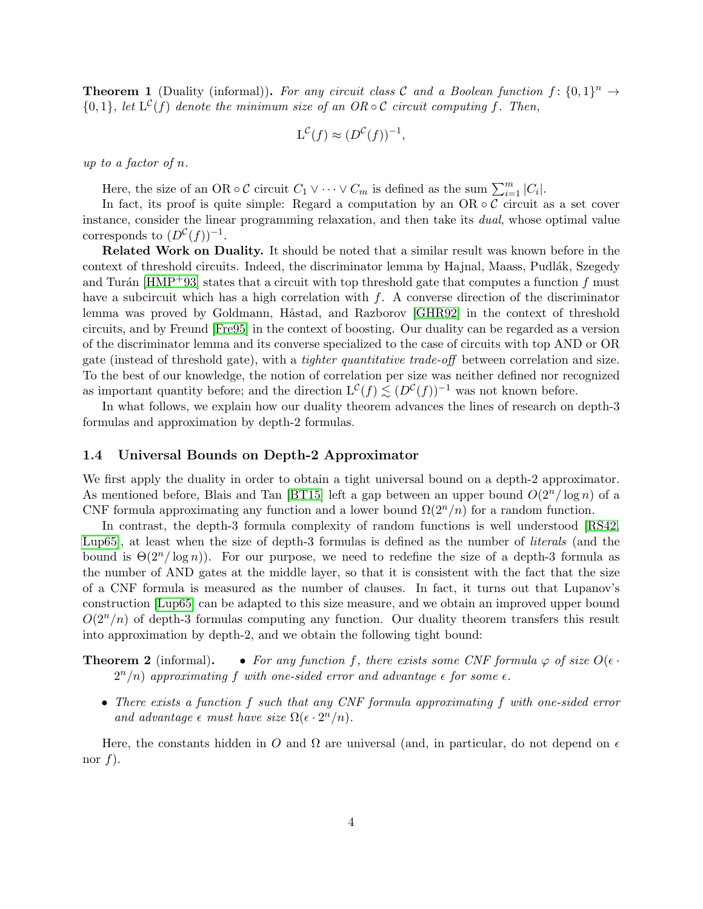**Theorem 1** (Duality (informal)). For any circuit class C and a Boolean function  $f: \{0,1\}^n \to$  ${0,1}$ , let  $L^{\mathcal{C}}(f)$  denote the minimum size of an OR  $\circ \mathcal{C}$  circuit computing f. Then,

$$
L^{\mathcal{C}}(f) \approx (D^{\mathcal{C}}(f))^{-1},
$$

up to a factor of n.

Here, the size of an OR  $\circ \mathcal{C}$  circuit  $C_1 \vee \cdots \vee C_m$  is defined as the sum  $\sum_{i=1}^m |C_i|$ .

In fact, its proof is quite simple: Regard a computation by an  $OR \circ C$  circuit as a set cover instance, consider the linear programming relaxation, and then take its dual, whose optimal value corresponds to  $(D^{\mathcal{C}}(f))^{-1}$ .

Related Work on Duality. It should be noted that a similar result was known before in the context of threshold circuits. Indeed, the discriminator lemma by Hajnal, Maass, Pudlák, Szegedy and Turán [\[HMP](#page-20-6)+93] states that a circuit with top threshold gate that computes a function f must have a subcircuit which has a high correlation with  $f$ . A converse direction of the discriminator lemma was proved by Goldmann, Håstad, and Razborov [\[GHR92\]](#page-20-7) in the context of threshold circuits, and by Freund [\[Fre95\]](#page-20-8) in the context of boosting. Our duality can be regarded as a version of the discriminator lemma and its converse specialized to the case of circuits with top AND or OR gate (instead of threshold gate), with a tighter quantitative trade-off between correlation and size. To the best of our knowledge, the notion of correlation per size was neither defined nor recognized as important quantity before; and the direction  $L^{\mathcal{C}}(f) \lesssim (D^{\mathcal{C}}(f))^{-1}$  was not known before.

In what follows, we explain how our duality theorem advances the lines of research on depth-3 formulas and approximation by depth-2 formulas.

### 1.4 Universal Bounds on Depth-2 Approximator

We first apply the duality in order to obtain a tight universal bound on a depth-2 approximator. As mentioned before, Blais and Tan [\[BT15\]](#page-19-0) left a gap between an upper bound  $O(2^n/\log n)$  of a CNF formula approximating any function and a lower bound  $\Omega(2^n/n)$  for a random function.

In contrast, the depth-3 formula complexity of random functions is well understood [\[RS42,](#page-21-2) [Lup65\]](#page-21-3), at least when the size of depth-3 formulas is defined as the number of literals (and the bound is  $\Theta(2^n/\log n)$ ). For our purpose, we need to redefine the size of a depth-3 formula as the number of AND gates at the middle layer, so that it is consistent with the fact that the size of a CNF formula is measured as the number of clauses. In fact, it turns out that Lupanov's construction [\[Lup65\]](#page-21-3) can be adapted to this size measure, and we obtain an improved upper bound  $O(2^n/n)$  of depth-3 formulas computing any function. Our duality theorem transfers this result into approximation by depth-2, and we obtain the following tight bound:

**Theorem 2** (informal). • For any function f, there exists some CNF formula  $\varphi$  of size  $O(\epsilon \cdot \tau)$  $2^n/n$  approximating f with one-sided error and advantage  $\epsilon$  for some  $\epsilon$ .

• There exists a function f such that any CNF formula approximating f with one-sided error and advantage  $\epsilon$  must have size  $\Omega(\epsilon \cdot 2^n/n)$ .

Here, the constants hidden in O and  $\Omega$  are universal (and, in particular, do not depend on  $\epsilon$ nor  $f$ ).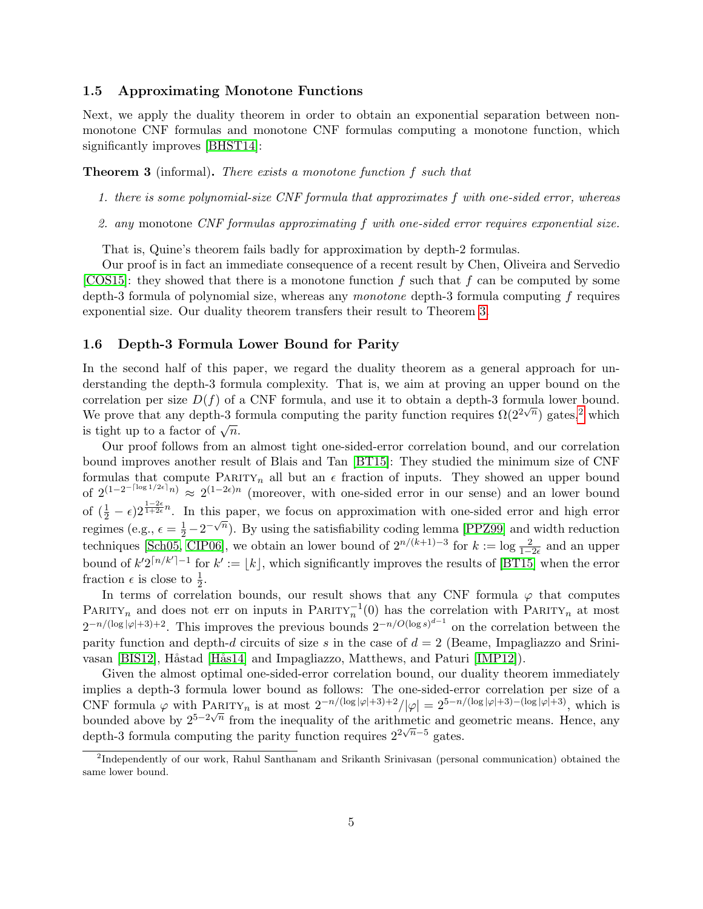### 1.5 Approximating Monotone Functions

Next, we apply the duality theorem in order to obtain an exponential separation between nonmonotone CNF formulas and monotone CNF formulas computing a monotone function, which significantly improves [\[BHST14\]](#page-19-1):

<span id="page-4-0"></span>Theorem 3 (informal). There exists a monotone function f such that

- 1. there is some polynomial-size CNF formula that approximates f with one-sided error, whereas
- 2. any monotone CNF formulas approximating f with one-sided error requires exponential size.

That is, Quine's theorem fails badly for approximation by depth-2 formulas.

Our proof is in fact an immediate consequence of a recent result by Chen, Oliveira and Servedio [\[COS15\]](#page-19-3): they showed that there is a monotone function  $f$  such that  $f$  can be computed by some depth-3 formula of polynomial size, whereas any *monotone* depth-3 formula computing f requires exponential size. Our duality theorem transfers their result to Theorem [3.](#page-4-0)

### 1.6 Depth-3 Formula Lower Bound for Parity

In the second half of this paper, we regard the duality theorem as a general approach for understanding the depth-3 formula complexity. That is, we aim at proving an upper bound on the correlation per size  $D(f)$  of a CNF formula, and use it to obtain a depth-3 formula lower bound. We prove that any depth-3 formula computing the parity function requires  $\Omega(2^{2\sqrt{n}})$  $\Omega(2^{2\sqrt{n}})$  $\Omega(2^{2\sqrt{n}})$  gates,<sup>2</sup> which we prove that any depth-5 is<br>is tight up to a factor of  $\sqrt{n}$ .

Our proof follows from an almost tight one-sided-error correlation bound, and our correlation bound improves another result of Blais and Tan [\[BT15\]](#page-19-0): They studied the minimum size of CNF formulas that compute PARITY<sub>n</sub> all but an  $\epsilon$  fraction of inputs. They showed an upper bound of  $2^{(1-2^{-\lceil \log 1/2\epsilon \rceil} n)} \approx 2^{(1-2\epsilon)n}$  (moreover, with one-sided error in our sense) and an lower bound of  $(\frac{1}{2} - \epsilon)2^{\frac{1-2\epsilon}{1+2\epsilon}n}$ . In this paper, we focus on approximation with one-sided error and high error regimes (e.g.,  $\epsilon = \frac{1}{2} - 2^{-\sqrt{n}}$ ). By using the satisfiability coding lemma [\[PPZ99\]](#page-21-5) and width reduction techniques [\[Sch05,](#page--1-4) [CIP06\]](#page-19-4), we obtain an lower bound of  $2^{n/(k+1)-3}$  for  $k := \log \frac{2}{1-2\epsilon}$  and an upper bound of  $k'2^{n/k'}-1$  for  $k' := |k|$ , which significantly improves the results of [\[BT15\]](#page-19-0) when the error fraction  $\epsilon$  is close to  $\frac{1}{2}$ .

In terms of correlation bounds, our result shows that any CNF formula  $\varphi$  that computes PARITY<sub>n</sub> and does not err on inputs in PARITY<sub>n</sub><sup>1</sup>(0) has the correlation with PARITY<sub>n</sub> at most  $2^{-n/(\log |\varphi|+3)+2}$ . This improves the previous bounds  $2^{-n/O(\log s)^{d-1}}$  on the correlation between the parity function and depth-d circuits of size s in the case of  $d = 2$  (Beame, Impagliazzo and Srini-vasan [\[BIS12\]](#page-19-5), Håstad [Hås14] and Impagliazzo, Matthews, and Paturi [\[IMP12\]](#page-20-10)).

Given the almost optimal one-sided-error correlation bound, our duality theorem immediately implies a depth-3 formula lower bound as follows: The one-sided-error correlation per size of a CNF formula  $\varphi$  with PARITY<sub>n</sub> is at most  $2^{-n/(\log |\varphi|+3)+2}/|\varphi| = 2^{5-n/(\log |\varphi|+3)-(\log |\varphi|+3)}$ , which is bounded above by  $2^{5-2\sqrt{n}}$  from the inequality of the arithmetic and geometric means. Hence, any depth-3 formula computing the parity function requires  $2^{2\sqrt{n}-5}$  gates.

<span id="page-4-1"></span><sup>&</sup>lt;sup>2</sup>Independently of our work, Rahul Santhanam and Srikanth Srinivasan (personal communication) obtained the same lower bound.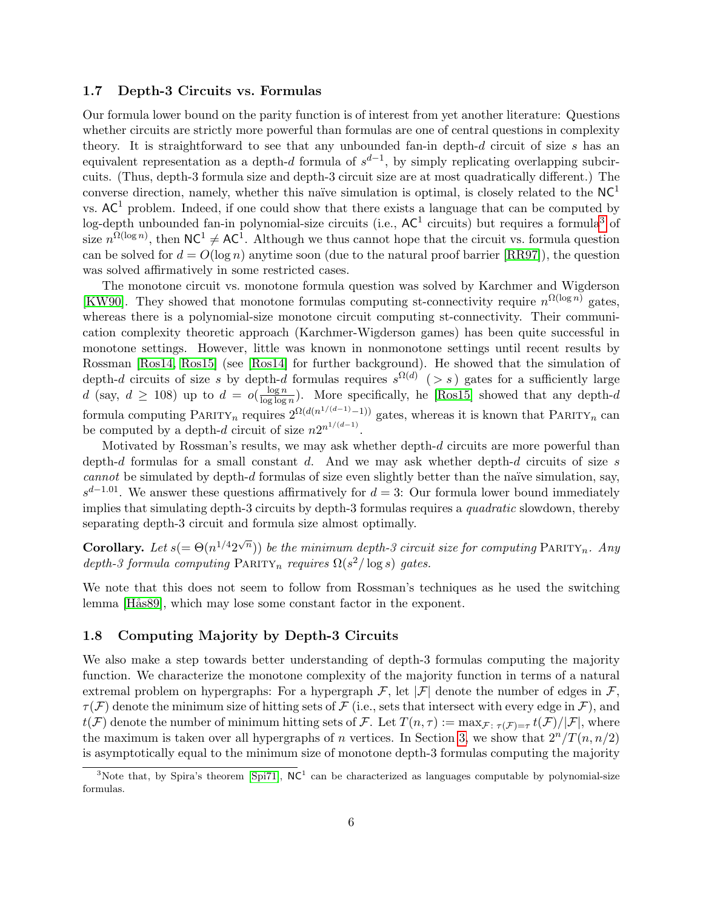### 1.7 Depth-3 Circuits vs. Formulas

Our formula lower bound on the parity function is of interest from yet another literature: Questions whether circuits are strictly more powerful than formulas are one of central questions in complexity theory. It is straightforward to see that any unbounded fan-in depth- $d$  circuit of size  $s$  has an equivalent representation as a depth-d formula of  $s^{d-1}$ , by simply replicating overlapping subcircuits. (Thus, depth-3 formula size and depth-3 circuit size are at most quadratically different.) The converse direction, namely, whether this naïve simulation is optimal, is closely related to the  $NC<sup>1</sup>$ vs.  $AC<sup>1</sup>$  problem. Indeed, if one could show that there exists a language that can be computed by log-depth unbounded fan-in polynomial-size circuits (i.e.,  $AC^1$  circuits) but requires a formula<sup>[3](#page-5-0)</sup> of size  $n^{\Omega(\log n)}$ , then  $NC^1 \neq AC^1$ . Although we thus cannot hope that the circuit vs. formula question can be solved for  $d = O(\log n)$  anytime soon (due to the natural proof barrier [\[RR97\]](#page-21-8)), the question was solved affirmatively in some restricted cases.

The monotone circuit vs. monotone formula question was solved by Karchmer and Wigderson [\[KW90\]](#page-21-9). They showed that monotone formulas computing st-connectivity require  $n^{\Omega(\log n)}$  gates, whereas there is a polynomial-size monotone circuit computing st-connectivity. Their communication complexity theoretic approach (Karchmer-Wigderson games) has been quite successful in monotone settings. However, little was known in nonmonotone settings until recent results by Rossman [\[Ros14,](#page-21-10) [Ros15\]](#page-21-11) (see [\[Ros14\]](#page-21-10) for further background). He showed that the simulation of depth-d circuits of size s by depth-d formulas requires  $s^{\Omega(d)}$  (> s) gates for a sufficiently large d (say,  $d \ge 108$ ) up to  $d = o(\frac{\log n}{\log \log n})$  $\frac{\log n}{\log \log n}$ ). More specifically, he [\[Ros15\]](#page-21-11) showed that any depth-d formula computing PARITY<sub>n</sub> requires  $2^{\Omega(d(n^{1/(d-1)}-1))}$  gates, whereas it is known that PARITY<sub>n</sub> can be computed by a depth-d circuit of size  $n2^{n^{1/(d-1)}}$ .

Motivated by Rossman's results, we may ask whether depth-d circuits are more powerful than depth-d formulas for a small constant d. And we may ask whether depth-d circuits of size s cannot be simulated by depth-d formulas of size even slightly better than the naïve simulation, say,  $s^{d-1.01}$ . We answer these questions affirmatively for  $d=3$ : Our formula lower bound immediately implies that simulating depth-3 circuits by depth-3 formulas requires a quadratic slowdown, thereby separating depth-3 circuit and formula size almost optimally.

**Corollary.** Let  $s(=\Theta(n^{1/4}2^{\sqrt{n}}))$  be the minimum depth-3 circuit size for computing PARITY<sub>n</sub>. Any depth-3 formula computing  $\text{PARITY}_n$  requires  $\Omega(s^2/\log s)$  gates.

We note that this does not seem to follow from Rossman's techniques as he used the switching lemma [Hås89], which may lose some constant factor in the exponent.

### 1.8 Computing Majority by Depth-3 Circuits

We also make a step towards better understanding of depth-3 formulas computing the majority function. We characterize the monotone complexity of the majority function in terms of a natural extremal problem on hypergraphs: For a hypergraph  $\mathcal{F}$ , let  $|\mathcal{F}|$  denote the number of edges in  $\mathcal{F}$ .  $\tau(F)$  denote the minimum size of hitting sets of F (i.e., sets that intersect with every edge in F), and  $t(\mathcal{F})$  denote the number of minimum hitting sets of  $\mathcal{F}$ . Let  $T(n,\tau) := \max_{\mathcal{F}:\ \tau(\mathcal{F})=\tau} t(\mathcal{F})/|\mathcal{F}|$ , where the maximum is taken over all hypergraphs of n vertices. In Section [3,](#page-9-0) we show that  $2^n/T(n, n/2)$ is asymptotically equal to the minimum size of monotone depth-3 formulas computing the majority

<span id="page-5-0"></span><sup>&</sup>lt;sup>3</sup>Note that, by Spira's theorem [\[Spi71\]](#page--1-5),  $NC<sup>1</sup>$  can be characterized as languages computable by polynomial-size formulas.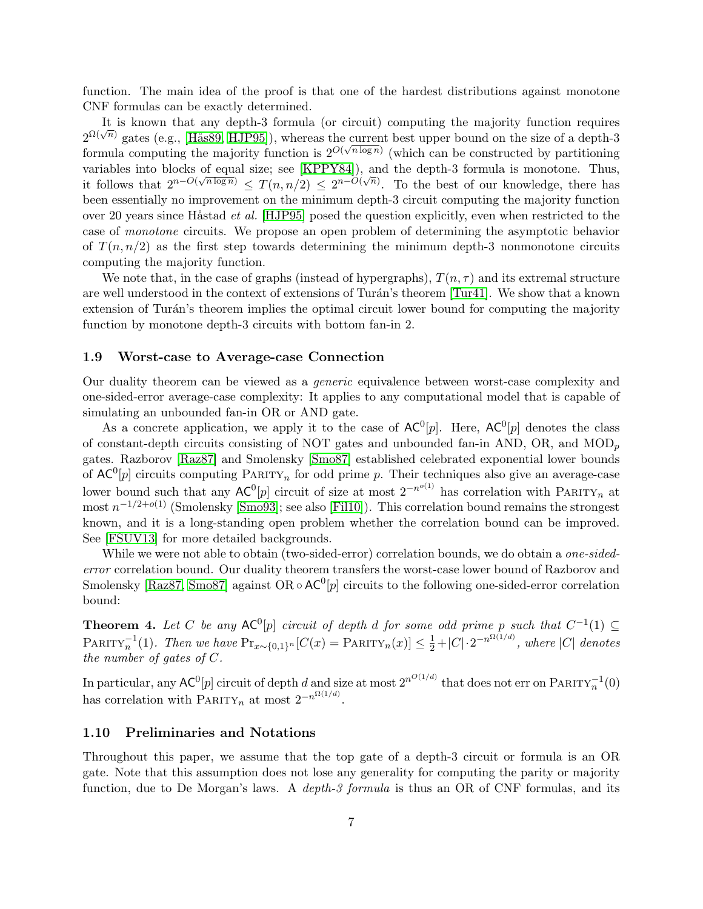function. The main idea of the proof is that one of the hardest distributions against monotone CNF formulas can be exactly determined.

It is known that any depth-3 formula (or circuit) computing the majority function requires  $2^{\Omega(\sqrt{n})}$  gates (e.g., [Hås89, [HJP95\]](#page-20-2)), whereas the current best upper bound on the size of a depth-3 formula computing the majority function is  $2^{O(\sqrt{n \log n})}$  (which can be constructed by partitioning variables into blocks of equal size; see  $[\text{KPPY84}]$ , and the depth-3 formula is monotone. Thus, it follows that  $2^{n-O(\sqrt{n\log n})} \leq T(n,n/2) \leq 2^{n-O(\sqrt{n})}$ . To the best of our knowledge, there has been essentially no improvement on the minimum depth-3 circuit computing the majority function over 20 years since Håstad et al. [\[HJP95\]](#page-20-2) posed the question explicitly, even when restricted to the case of monotone circuits. We propose an open problem of determining the asymptotic behavior of  $T(n, n/2)$  as the first step towards determining the minimum depth-3 nonmonotone circuits computing the majority function.

We note that, in the case of graphs (instead of hypergraphs),  $T(n, \tau)$  and its extremal structure are well understood in the context of extensions of Turán's theorem [\[Tur41\]](#page--1-6). We show that a known extension of Turán's theorem implies the optimal circuit lower bound for computing the majority function by monotone depth-3 circuits with bottom fan-in 2.

#### 1.9 Worst-case to Average-case Connection

Our duality theorem can be viewed as a generic equivalence between worst-case complexity and one-sided-error average-case complexity: It applies to any computational model that is capable of simulating an unbounded fan-in OR or AND gate.

As a concrete application, we apply it to the case of  $AC^0[p]$ . Here,  $AC^0[p]$  denotes the class of constant-depth circuits consisting of NOT gates and unbounded fan-in AND, OR, and  $MOD_p$ gates. Razborov [\[Raz87\]](#page-21-4) and Smolensky [\[Smo87\]](#page--1-1) established celebrated exponential lower bounds of  $AC^0[p]$  circuits computing PARITY<sub>n</sub> for odd prime p. Their techniques also give an average-case lower bound such that any  $AC^0[p]$  circuit of size at most  $2^{-n^{o(1)}}$  has correlation with PARITY<sub>n</sub> at most  $n^{-1/2+o(1)}$  (Smolensky [\[Smo93\]](#page--1-7); see also [\[Fil10\]](#page-20-11)). This correlation bound remains the strongest known, and it is a long-standing open problem whether the correlation bound can be improved. See [\[FSUV13\]](#page-20-12) for more detailed backgrounds.

While we were not able to obtain (two-sided-error) correlation bounds, we do obtain a *one-sided*error correlation bound. Our duality theorem transfers the worst-case lower bound of Razborov and Smolensky [\[Raz87,](#page-21-4) [Smo87\]](#page--1-1) against OR ∘  $AC^0[p]$  circuits to the following one-sided-error correlation bound:

<span id="page-6-0"></span>**Theorem 4.** Let C be any  $AC^0[p]$  circuit of depth d for some odd prime p such that  $C^{-1}(1) \subseteq$ PARITY<sup>-1</sup>(1). Then we have  $Pr_{x \sim \{0,1\}^n}[C(x) = PARTY_n(x)] \leq \frac{1}{2} + |C| \cdot 2^{-n^{\Omega(1/d)}}$ , where |C| denotes the number of gates of C.

In particular, any  $\mathsf{AC}^0[p]$  circuit of depth  $d$  and size at most  $2^{n^{O(1/d)}}$  that does not err on  $\mathrm{PARITY}_n^{-1}(0)$ has correlation with PARITY<sub>n</sub> at most  $2^{-n^{\Omega(1/d)}}$ .

### 1.10 Preliminaries and Notations

Throughout this paper, we assume that the top gate of a depth-3 circuit or formula is an OR gate. Note that this assumption does not lose any generality for computing the parity or majority function, due to De Morgan's laws. A *depth-3 formula* is thus an OR of CNF formulas, and its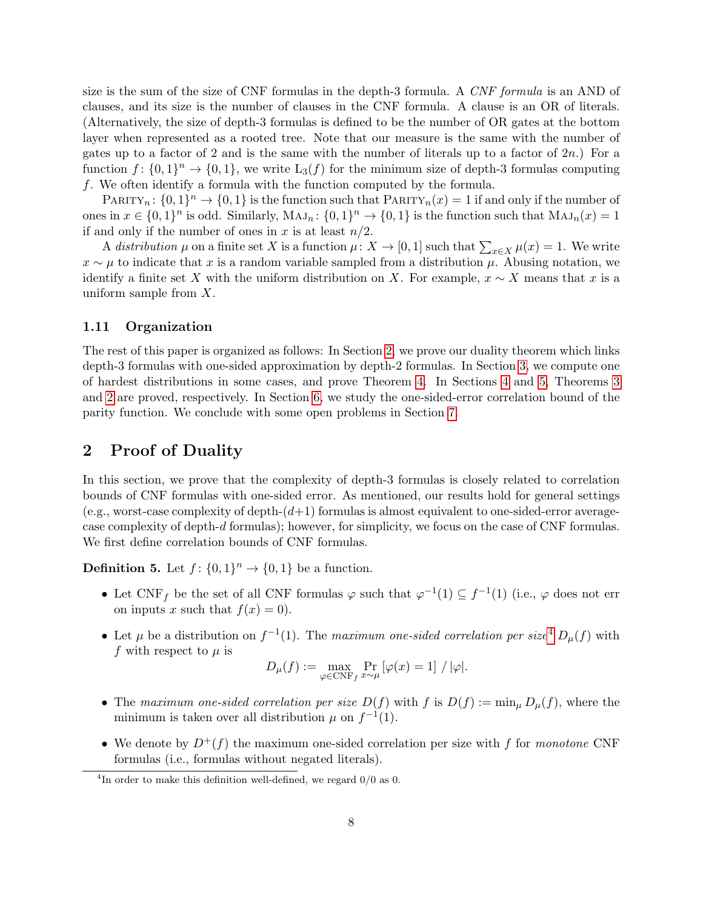size is the sum of the size of CNF formulas in the depth-3 formula. A CNF formula is an AND of clauses, and its size is the number of clauses in the CNF formula. A clause is an OR of literals. (Alternatively, the size of depth-3 formulas is defined to be the number of OR gates at the bottom layer when represented as a rooted tree. Note that our measure is the same with the number of gates up to a factor of 2 and is the same with the number of literals up to a factor of  $2n$ .) For a function  $f: \{0,1\}^n \to \{0,1\}$ , we write  $L_3(f)$  for the minimum size of depth-3 formulas computing f. We often identify a formula with the function computed by the formula.

PARITY<sub>n</sub>:  $\{0,1\}$ <sup>n</sup>  $\rightarrow$   $\{0,1\}$  is the function such that PARITY<sub>n</sub> $(x) = 1$  if and only if the number of ones in  $x \in \{0,1\}^n$  is odd. Similarly,  $MAJ_n: \{0,1\}^n \to \{0,1\}$  is the function such that  $MAJ_n(x) = 1$ if and only if the number of ones in x is at least  $n/2$ .

A distribution  $\mu$  on a finite set X is a function  $\mu: X \to [0,1]$  such that  $\sum_{x \in X} \mu(x) = 1$ . We write  $x \sim \mu$  to indicate that x is a random variable sampled from a distribution  $\mu$ . Abusing notation, we identify a finite set X with the uniform distribution on X. For example,  $x \sim X$  means that x is a uniform sample from X.

### 1.11 Organization

The rest of this paper is organized as follows: In Section [2,](#page-7-0) we prove our duality theorem which links depth-3 formulas with one-sided approximation by depth-2 formulas. In Section [3,](#page-9-0) we compute one of hardest distributions in some cases, and prove Theorem [4.](#page-6-0) In Sections [4](#page-12-0) and [5,](#page-13-0) Theorems [3](#page-4-0) and [2](#page--1-8) are proved, respectively. In Section [6,](#page-16-0) we study the one-sided-error correlation bound of the parity function. We conclude with some open problems in Section [7.](#page-18-0)

# <span id="page-7-0"></span>2 Proof of Duality

In this section, we prove that the complexity of depth-3 formulas is closely related to correlation bounds of CNF formulas with one-sided error. As mentioned, our results hold for general settings (e.g., worst-case complexity of depth- $(d+1)$  formulas is almost equivalent to one-sided-error averagecase complexity of depth-d formulas); however, for simplicity, we focus on the case of CNF formulas. We first define correlation bounds of CNF formulas.

**Definition 5.** Let  $f: \{0, 1\}^n \to \{0, 1\}$  be a function.

- Let CNF<sub>f</sub> be the set of all CNF formulas  $\varphi$  such that  $\varphi^{-1}(1) \subseteq f^{-1}(1)$  (i.e.,  $\varphi$  does not err on inputs x such that  $f(x) = 0$ .
- Let  $\mu$  be a distribution on  $f^{-1}(1)$ . The maximum one-sided correlation per size<sup>[4](#page-7-1)</sup>  $D_{\mu}(f)$  with f with respect to  $\mu$  is

$$
D_{\mu}(f) := \max_{\varphi \in \text{CNF}_f} \Pr_{x \sim \mu} \left[ \varphi(x) = 1 \right] / |\varphi|.
$$

- The maximum one-sided correlation per size  $D(f)$  with f is  $D(f) := \min_{\mu} D_{\mu}(f)$ , where the minimum is taken over all distribution  $\mu$  on  $f^{-1}(1)$ .
- We denote by  $D^+(f)$  the maximum one-sided correlation per size with f for monotone CNF formulas (i.e., formulas without negated literals).

<span id="page-7-1"></span><sup>&</sup>lt;sup>4</sup>In order to make this definition well-defined, we regard  $0/0$  as 0.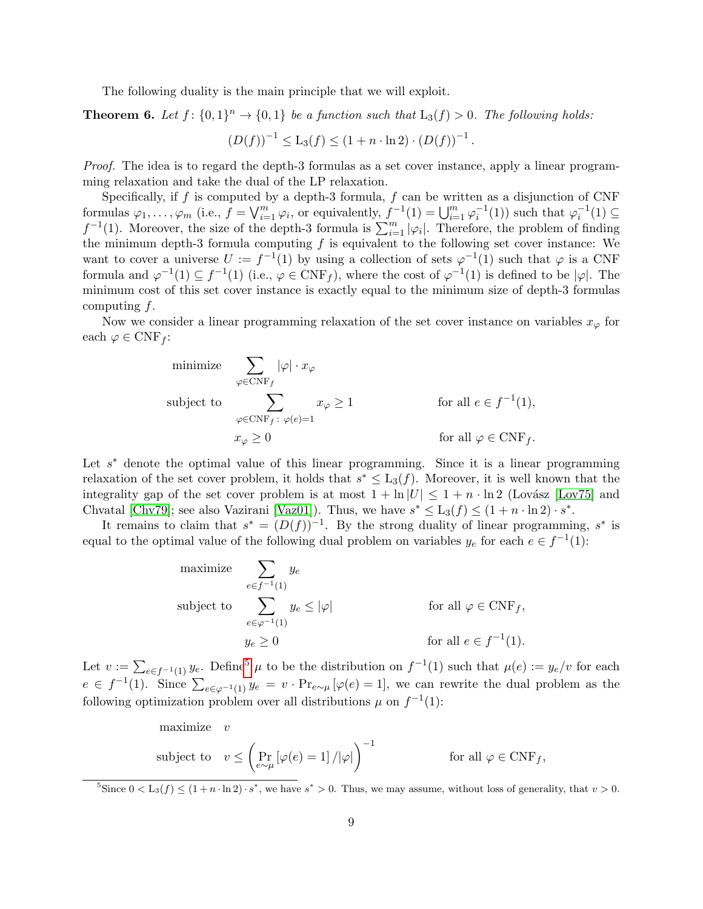The following duality is the main principle that we will exploit.

<span id="page-8-1"></span>**Theorem 6.** Let  $f: \{0,1\}^n \to \{0,1\}$  be a function such that  $L_3(f) > 0$ . The following holds:

$$
(D(f))^{-1} \leq L_3(f) \leq (1 + n \cdot \ln 2) \cdot (D(f))^{-1}.
$$

Proof. The idea is to regard the depth-3 formulas as a set cover instance, apply a linear programming relaxation and take the dual of the LP relaxation.

Specifically, if f is computed by a depth-3 formula, f can be written as a disjunction of CNF formulas  $\varphi_1, \ldots, \varphi_m$  (i.e.,  $f = \bigvee_{i=1}^m \varphi_i$ , or equivalently,  $f^{-1}(1) = \bigcup_{i=1}^m \varphi_i^{-1}(1)$ ) such that  $\varphi_i^{-1}(1) \subseteq$  $f^{-1}(1)$ . Moreover, the size of the depth-3 formula is  $\sum_{i=1}^{m} |\varphi_i|$ . Therefore, the problem of finding the minimum depth-3 formula computing  $f$  is equivalent to the following set cover instance: We want to cover a universe  $U := f^{-1}(1)$  by using a collection of sets  $\varphi^{-1}(1)$  such that  $\varphi$  is a CNF formula and  $\varphi^{-1}(1) \subseteq f^{-1}(1)$  (i.e.,  $\varphi \in CNF_f$ ), where the cost of  $\varphi^{-1}(1)$  is defined to be  $|\varphi|$ . The minimum cost of this set cover instance is exactly equal to the minimum size of depth-3 formulas computing f.

Now we consider a linear programming relaxation of the set cover instance on variables  $x_{\varphi}$  for each  $\varphi \in \text{CNF}_f$ :

minimize 
$$
\sum_{\varphi \in \text{CNF}_f} |\varphi| \cdot x_{\varphi}
$$
  
\nsubject to  $\sum_{\varphi \in \text{CNF}_f : \varphi(e)=1} x_{\varphi} \ge 1$  for all  $e \in f^{-1}(1)$ ,  
\n $x_{\varphi} \ge 0$  for all  $\varphi \in \text{CNF}_f$ .

Let  $s^*$  denote the optimal value of this linear programming. Since it is a linear programming relaxation of the set cover problem, it holds that  $s^* \leq L_3(f)$ . Moreover, it is well known that the integrality gap of the set cover problem is at most  $1 + \ln|U| \leq 1 + n \cdot \ln 2$  (Lovász [\[Lov75\]](#page-21-13) and Chvatal [\[Chv79\]](#page-19-6); see also Vazirani [\[Vaz01\]](#page--1-9)). Thus, we have  $s^* \leq L_3(f) \leq (1 + n \cdot \ln 2) \cdot s^*$ .

It remains to claim that  $s^* = (D(f))^{-1}$ . By the strong duality of linear programming,  $s^*$  is equal to the optimal value of the following dual problem on variables  $y_e$  for each  $e \in f^{-1}(1)$ :

maximize 
$$
\sum_{e \in f^{-1}(1)} y_e
$$
  
subject to 
$$
\sum_{e \in \varphi^{-1}(1)} y_e \le |\varphi|
$$
 for all  $\varphi \in \text{CNF}_f$ ,  
 $y_e \ge 0$  for all  $e \in f^{-1}(1)$ .

Let  $v := \sum_{e \in f^{-1}(1)} y_e$ . Define<sup>[5](#page-8-0)</sup>  $\mu$  to be the distribution on  $f^{-1}(1)$  such that  $\mu(e) := y_e/v$  for each  $e \in f^{-1}(1)$ . Since  $\sum_{e \in \varphi^{-1}(1)} y_e = v \cdot \Pr_{e \sim \mu} [\varphi(e) = 1]$ , we can rewrite the dual problem as the following optimization problem over all distributions  $\mu$  on  $f^{-1}(1)$ :

maximize 
$$
v
$$
  
subject to  $v \leq \left(\Pr_{e \sim \mu} [\varphi(e) = 1] / |\varphi|\right)^{-1}$  for all  $\varphi \in \text{CNF}_f$ ,

<span id="page-8-0"></span><sup>5</sup>Since  $0 < L_3(f) \leq (1 + n \cdot \ln 2) \cdot s^*$ , we have  $s^* > 0$ . Thus, we may assume, without loss of generality, that  $v > 0$ .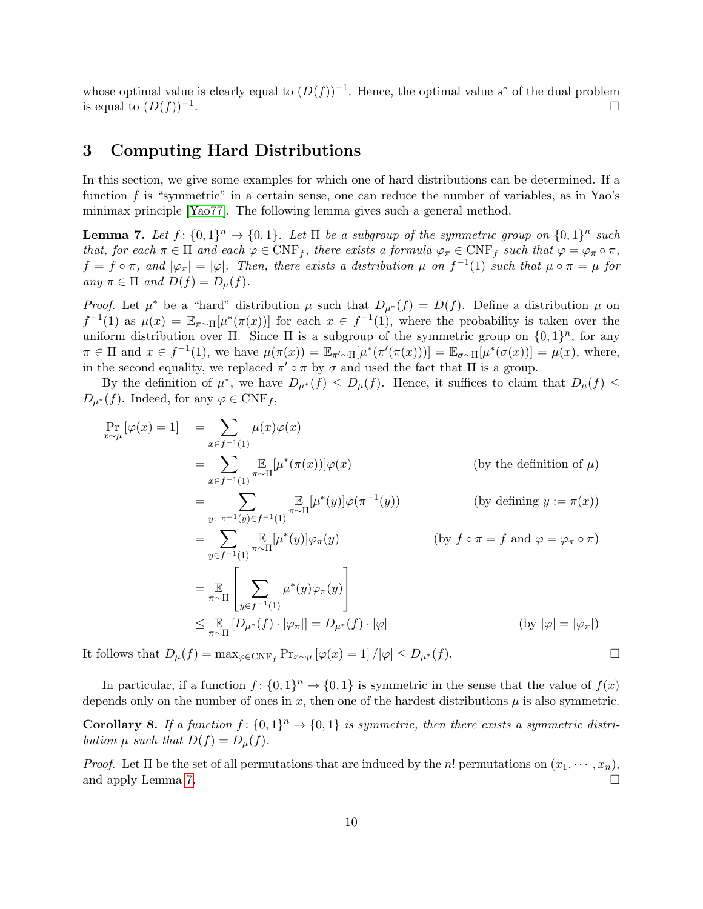whose optimal value is clearly equal to  $(D(f))^{-1}$ . Hence, the optimal value s<sup>\*</sup> of the dual problem is equal to  $(D(f))^{-1}$ . .

# <span id="page-9-0"></span>3 Computing Hard Distributions

In this section, we give some examples for which one of hard distributions can be determined. If a function  $f$  is "symmetric" in a certain sense, one can reduce the number of variables, as in Yao's minimax principle [\[Yao77\]](#page--1-10). The following lemma gives such a general method.

<span id="page-9-1"></span>**Lemma 7.** Let  $f: \{0,1\}^n \to \{0,1\}$ . Let  $\Pi$  be a subgroup of the symmetric group on  $\{0,1\}^n$  such that, for each  $\pi \in \Pi$  and each  $\varphi \in \text{CNF}_f$ , there exists a formula  $\varphi_{\pi} \in \text{CNF}_f$  such that  $\varphi = \varphi_{\pi} \circ \pi$ ,  $f = f \circ \pi$ , and  $|\varphi_{\pi}| = |\varphi|$ . Then, there exists a distribution  $\mu$  on  $f^{-1}(1)$  such that  $\mu \circ \pi = \mu$  for any  $\pi \in \Pi$  and  $D(f) = D_{\mu}(f)$ .

*Proof.* Let  $\mu^*$  be a "hard" distribution  $\mu$  such that  $D_{\mu^*}(f) = D(f)$ . Define a distribution  $\mu$  on  $f^{-1}(1)$  as  $\mu(x) = \mathbb{E}_{\pi \sim \Pi}[\mu^*(\pi(x))]$  for each  $x \in f^{-1}(1)$ , where the probability is taken over the uniform distribution over  $\Pi$ . Since  $\Pi$  is a subgroup of the symmetric group on  $\{0,1\}^n$ , for any  $\pi \in \Pi$  and  $x \in f^{-1}(1)$ , we have  $\mu(\pi(x)) = \mathbb{E}_{\pi' \sim \Pi}[\mu^*(\pi'(\pi(x)))] = \mathbb{E}_{\sigma \sim \Pi}[\mu^*(\sigma(x))] = \mu(x)$ , where, in the second equality, we replaced  $\pi' \circ \pi$  by  $\sigma$  and used the fact that  $\Pi$  is a group.

By the definition of  $\mu^*$ , we have  $D_{\mu^*}(f) \leq D_{\mu}(f)$ . Hence, it suffices to claim that  $D_{\mu}(f) \leq$  $D_{\mu^*}(f)$ . Indeed, for any  $\varphi \in \text{CNF}_f$ ,

$$
\Pr_{x \sim \mu} [\varphi(x) = 1] = \sum_{x \in f^{-1}(1)} \mu(x)\varphi(x)
$$
\n
$$
= \sum_{x \in f^{-1}(1)} \mathbb{E}_{\pi \sim \Pi} [\mu^*(\pi(x))] \varphi(x) \qquad \text{(by the definition of } \mu)
$$
\n
$$
= \sum_{y: \pi^{-1}(y) \in f^{-1}(1)} \mathbb{E}_{\pi \sim \Pi} [\mu^*(y)] \varphi(\pi^{-1}(y)) \qquad \text{(by defining } y := \pi(x))
$$
\n
$$
= \sum_{y \in f^{-1}(1)} \mathbb{E}_{\pi \sim \Pi} [\mu^*(y)] \varphi_{\pi}(y) \qquad \text{(by } f \circ \pi = f \text{ and } \varphi = \varphi_{\pi} \circ \pi)
$$
\n
$$
= \mathbb{E}_{\pi \sim \Pi} \left[ \sum_{y \in f^{-1}(1)} \mu^*(y) \varphi_{\pi}(y) \right]
$$
\n
$$
\leq \mathbb{E}_{\pi \sim \Pi} [D_{\mu^*}(f) \cdot |\varphi_{\pi}|| = D_{\mu^*}(f) \cdot |\varphi| \qquad \text{(by } |\varphi| = |\varphi_{\pi}|)
$$

It follows that  $D_{\mu}(f) = \max_{\varphi \in \text{CNF}_f} \Pr_{x \sim \mu} [\varphi(x) = 1] / |\varphi| \le D_{\mu^*}(f).$ 

In particular, if a function  $f: \{0,1\}^n \to \{0,1\}$  is symmetric in the sense that the value of  $f(x)$ depends only on the number of ones in x, then one of the hardest distributions  $\mu$  is also symmetric.

<span id="page-9-2"></span>**Corollary 8.** If a function  $f: \{0,1\}^n \to \{0,1\}$  is symmetric, then there exists a symmetric distribution  $\mu$  such that  $D(f) = D_{\mu}(f)$ .

*Proof.* Let  $\Pi$  be the set of all permutations that are induced by the n! permutations on  $(x_1, \dots, x_n)$ , and apply Lemma [7.](#page-9-1)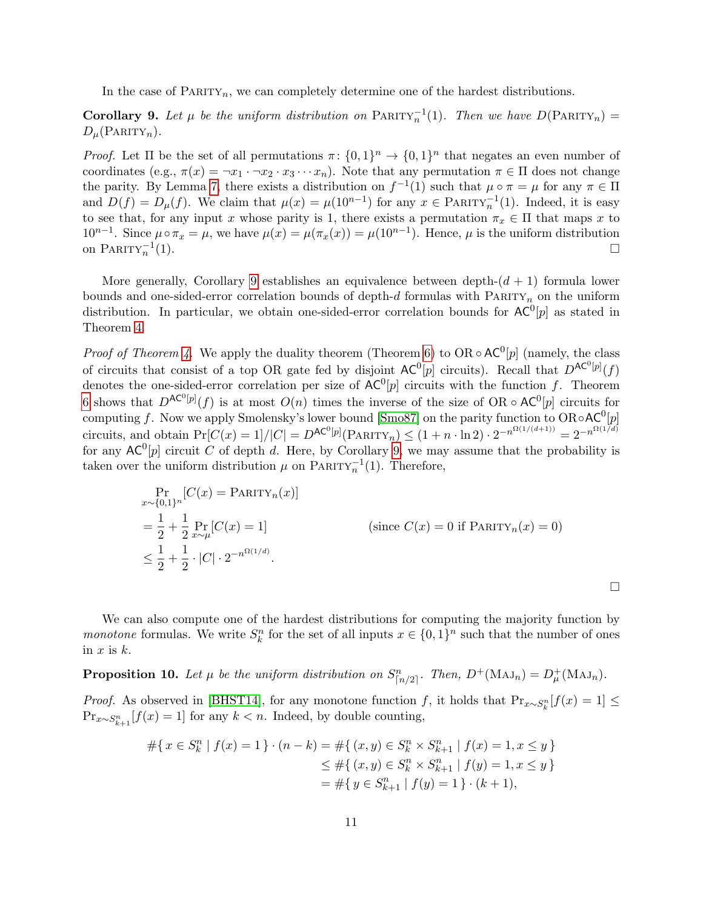In the case of  $\text{PARITY}_n$ , we can completely determine one of the hardest distributions.

<span id="page-10-0"></span>**Corollary 9.** Let  $\mu$  be the uniform distribution on PARITY<sub>n</sub><sup>1</sup>(1). Then we have  $D(PARTY_n)$  =  $D_\mu(\text{PARITY}_n).$ 

*Proof.* Let  $\Pi$  be the set of all permutations  $\pi: \{0,1\}^n \to \{0,1\}^n$  that negates an even number of coordinates (e.g.,  $\pi(x) = \neg x_1 \cdot \neg x_2 \cdot x_3 \cdots x_n$ ). Note that any permutation  $\pi \in \Pi$  does not change the parity. By Lemma [7,](#page-9-1) there exists a distribution on  $f^{-1}(1)$  such that  $\mu \circ \pi = \mu$  for any  $\pi \in \Pi$ and  $D(f) = D_{\mu}(f)$ . We claim that  $\mu(x) = \mu(10^{n-1})$  for any  $x \in \text{PARTY}_n^{-1}(1)$ . Indeed, it is easy to see that, for any input x whose parity is 1, there exists a permutation  $\pi_x \in \Pi$  that maps x to  $10^{n-1}$ . Since  $\mu \circ \pi_x = \mu$ , we have  $\mu(x) = \mu(\pi_x(x)) = \mu(10^{n-1})$ . Hence,  $\mu$  is the uniform distribution on PARITY $_n^{-1}$  $(1).$ 

More generally, Corollary [9](#page-10-0) establishes an equivalence between depth- $(d + 1)$  formula lower bounds and one-sided-error correlation bounds of depth-d formulas with  $\text{PARITY}_n$  on the uniform distribution. In particular, we obtain one-sided-error correlation bounds for  $AC^0[p]$  as stated in Theorem [4.](#page-6-0)

*Proof of Theorem [4.](#page-6-0)* We apply the duality theorem (Theorem [6\)](#page-8-1) to OR  $\circ$  AC<sup>0</sup>[p] (namely, the class of circuits that consist of a top OR gate fed by disjoint  $AC^0[p]$  circuits). Recall that  $D^{AC^0[p]}(f)$ denotes the one-sided-error correlation per size of  $AC^0[p]$  circuits with the function f. Theorem [6](#page-8-1) shows that  $D^{AC^0[p]}(f)$  is at most  $O(n)$  times the inverse of the size of OR  $\circ$  AC<sup>0</sup>[p] circuits for computing f. Now we apply Smolensky's lower bound [\[Smo87\]](#page--1-1) on the parity function to  $OR \circ AC^0[p]$ circuits, and obtain  $Pr[C(x) = 1]/|C| = D^{AC^0[p]}(P_{ARITY_n}) \leq (1 + n \cdot \ln 2) \cdot 2^{-n^{\Omega(1/(d+1))}} = 2^{-n^{\Omega(1/d)}}$ for any  $AC^0[p]$  circuit C of depth d. Here, by Corollary [9,](#page-10-0) we may assume that the probability is taken over the uniform distribution  $\mu$  on PARITY<sub>n</sub><sup>-1</sup>(1). Therefore,

$$
\Pr_{x \sim \{0,1\}^n} [C(x) = \text{PARTY}_n(x)]
$$
\n
$$
= \frac{1}{2} + \frac{1}{2} \Pr_{x \sim \mu} [C(x) = 1]
$$
\n
$$
\leq \frac{1}{2} + \frac{1}{2} \cdot |C| \cdot 2^{-n^{\Omega(1/d)}}.
$$
\n(since  $C(x) = 0$  if  $\text{PARTY}_n(x) = 0$ )

 $\Box$ 

We can also compute one of the hardest distributions for computing the majority function by *monotone* formulas. We write  $S_k^n$  for the set of all inputs  $x \in \{0,1\}^n$  such that the number of ones in  $x$  is  $k$ .

<span id="page-10-1"></span>**Proposition 10.** Let  $\mu$  be the uniform distribution on  $S_{\lfloor n/2 \rfloor}^n$ . Then,  $D^+(\text{MAJ}_n) = D^+_{\mu}(\text{MAJ}_n)$ .

*Proof.* As observed in [\[BHST14\]](#page-19-1), for any monotone function f, it holds that  $Pr_{x \sim S_k^n}[f(x) = 1]$  ≤  $\Pr_{x \sim S_{k+1}^n} [f(x) = 1]$  for any  $k < n$ . Indeed, by double counting,

$$
#\{x \in S_k^n \mid f(x) = 1\} \cdot (n - k) = #\{(x, y) \in S_k^n \times S_{k+1}^n \mid f(x) = 1, x \le y\}
$$
  
\n
$$
\le #\{(x, y) \in S_k^n \times S_{k+1}^n \mid f(y) = 1, x \le y\}
$$
  
\n
$$
= #\{y \in S_{k+1}^n \mid f(y) = 1\} \cdot (k + 1),
$$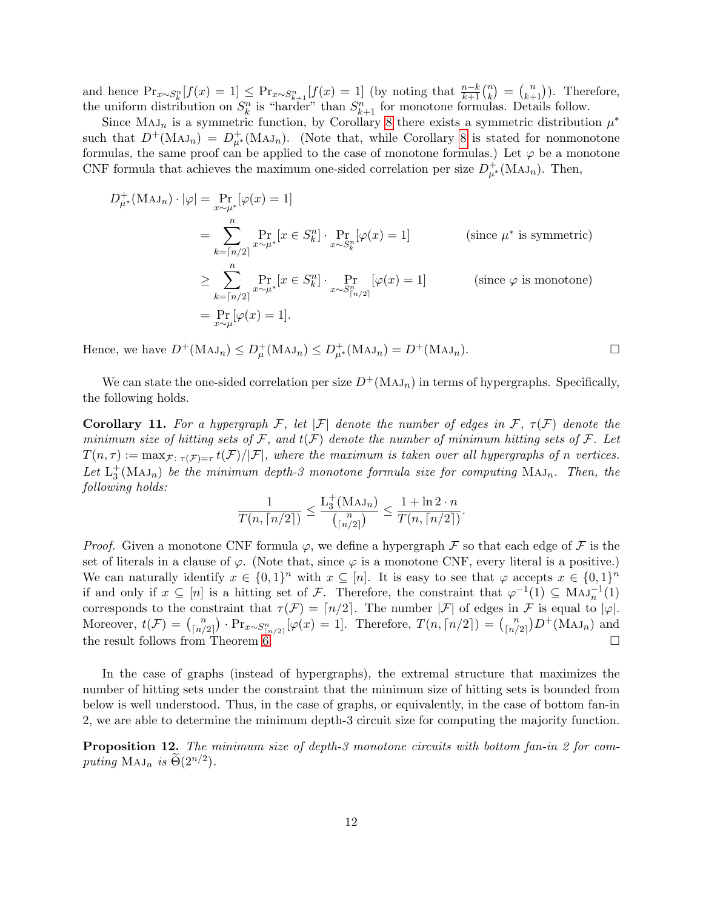and hence  $Pr_{x \sim S_k^n}[f(x) = 1] \le Pr_{x \sim S_{k+1}^n}[f(x) = 1]$  (by noting that  $\frac{n-k}{k+1} {n \choose k}$  $\binom{n}{k+1}$ . Therefore, the uniform distribution on  $S_k^n$  is "harder" than  $S_{k+1}^n$  for monotone formulas. Details follow.

Since MAJ<sub>n</sub> is a symmetric function, by Corollary [8](#page-9-2) there exists a symmetric distribution  $\mu^*$ such that  $D^+({\rm MAJ}_n) = D^+_{\mu^*}({\rm MAJ}_n)$ . (Note that, while Corollary [8](#page-9-2) is stated for nonmonotone formulas, the same proof can be applied to the case of monotone formulas.) Let  $\varphi$  be a monotone CNF formula that achieves the maximum one-sided correlation per size  $D_{\mu^*}^+(M A J_n)$ . Then,

$$
D_{\mu^*}^+(\text{MAJ}_n) \cdot |\varphi| = \Pr_{x \sim \mu^*}[\varphi(x) = 1]
$$
  
\n
$$
= \sum_{k=\lceil n/2 \rceil}^n \Pr_{x \sim \mu^*}[x \in S_k^n] \cdot \Pr_{x \sim S_k^n}[\varphi(x) = 1]
$$
 (since  $\mu^*$  is symmetric)  
\n
$$
\geq \sum_{k=\lceil n/2 \rceil}^n \Pr_{x \sim \mu^*}[x \in S_k^n] \cdot \Pr_{x \sim S_{\lceil n/2 \rceil}^n}[\varphi(x) = 1]
$$
 (since  $\varphi$  is monotone)  
\n
$$
= \Pr_{x \sim \mu}[\varphi(x) = 1].
$$

Hence, we have  $D^+(\text{MAJ}_n) \le D^+_\mu(\text{MAJ}_n) \le D^+_{\mu^*}(\text{MAJ}_n) = D^+(\text{MAJ}_n).$ 

We can state the one-sided correlation per size  $D^+(\text{MAJ}_n)$  in terms of hypergraphs. Specifically, the following holds.

Corollary 11. For a hypergraph F, let  $|\mathcal{F}|$  denote the number of edges in  $\mathcal{F}$ ,  $\tau(\mathcal{F})$  denote the minimum size of hitting sets of  $\mathcal{F}$ , and  $t(\mathcal{F})$  denote the number of minimum hitting sets of  $\mathcal{F}$ . Let  $T(n,\tau) := \max_{\mathcal{F}:\ \tau(\mathcal{F})=\tau} t(\mathcal{F})/|\mathcal{F}|$ , where the maximum is taken over all hypergraphs of n vertices. Let  $L_3^+$ (Maj<sub>n</sub>) be the minimum depth-3 monotone formula size for computing Maj<sub>n</sub>. Then, the following holds:

$$
\frac{1}{T(n,\lceil n/2\rceil)}\leq \frac{\mathcal{L}_3^+\big(\mathcal{M}\mathcal{A}\mathcal{J}_n\big)}{\binom{n}{\lceil n/2\rceil}}\leq \frac{1+\ln2\cdot n}{T(n,\lceil n/2\rceil)}.
$$

*Proof.* Given a monotone CNF formula  $\varphi$ , we define a hypergraph  $\mathcal F$  so that each edge of  $\mathcal F$  is the set of literals in a clause of  $\varphi$ . (Note that, since  $\varphi$  is a monotone CNF, every literal is a positive.) We can naturally identify  $x \in \{0,1\}^n$  with  $x \subseteq [n]$ . It is easy to see that  $\varphi$  accepts  $x \in \{0,1\}^n$ if and only if  $x \subseteq [n]$  is a hitting set of F. Therefore, the constraint that  $\varphi^{-1}(1) \subseteq \text{Maj}_n^{-1}(1)$ corresponds to the constraint that  $\tau(\mathcal{F}) = \lceil n/2 \rceil$ . The number  $|\mathcal{F}|$  of edges in  $\mathcal{F}$  is equal to  $|\varphi|$ . Moreover,  $t(\mathcal{F}) = \binom{n}{\lfloor n / 2 \rfloor}$  $\binom{n}{\lfloor n/2 \rfloor}$  · Pr<sub>x∼S<sup>n</sup><sub> $\lfloor n/2 \rfloor$ </sub> [ $\varphi(x) = 1$ ]. Therefore,  $T(n, \lceil n/2 \rceil) = \binom{n}{\lfloor n/2 \rfloor}$ </sub>  $\binom{n}{\lfloor n/2 \rfloor} D^+(\text{MAJ}_n)$  and the result follows from Theorem [6.](#page-8-1)

In the case of graphs (instead of hypergraphs), the extremal structure that maximizes the number of hitting sets under the constraint that the minimum size of hitting sets is bounded from below is well understood. Thus, in the case of graphs, or equivalently, in the case of bottom fan-in 2, we are able to determine the minimum depth-3 circuit size for computing the majority function.

<span id="page-11-0"></span>Proposition 12. The minimum size of depth-3 monotone circuits with bottom fan-in 2 for computing  $MAJ_n$  is  $\widetilde{\Theta}(2^{n/2})$ .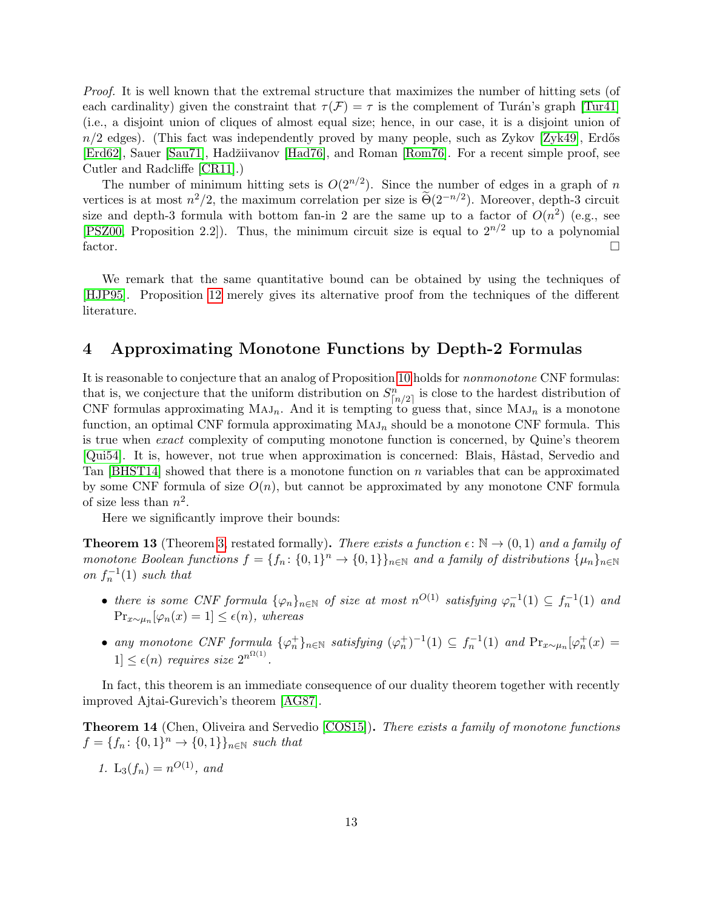Proof. It is well known that the extremal structure that maximizes the number of hitting sets (of each cardinality) given the constraint that  $\tau(\mathcal{F}) = \tau$  is the complement of Turán's graph [\[Tur41\]](#page--1-6) (i.e., a disjoint union of cliques of almost equal size; hence, in our case, it is a disjoint union of  $n/2$  edges). (This fact was independently proved by many people, such as Zykov [\[Zyk49\]](#page--1-11), Erdős [\[Erd62\]](#page-20-13), Sauer [\[Sau71\]](#page--1-12), Hadžiivanov [\[Had76\]](#page-20-14), and Roman [\[Rom76\]](#page-21-14). For a recent simple proof, see Cutler and Radcliffe [\[CR11\]](#page-19-7).)

The number of minimum hitting sets is  $O(2^{n/2})$ . Since the number of edges in a graph of n vertices is at most  $n^2/2$ , the maximum correlation per size is  $\widetilde{\Theta}(2^{-n/2})$ . Moreover, depth-3 circuit size and depth-3 formula with bottom fan-in 2 are the same up to a factor of  $O(n^2)$  (e.g., see [\[PSZ00,](#page-21-6) Proposition 2.2]). Thus, the minimum circuit size is equal to  $2^{n/2}$  up to a polynomial factor.  $\Box$ 

We remark that the same quantitative bound can be obtained by using the techniques of [\[HJP95\]](#page-20-2). Proposition [12](#page-11-0) merely gives its alternative proof from the techniques of the different literature.

# <span id="page-12-0"></span>4 Approximating Monotone Functions by Depth-2 Formulas

It is reasonable to conjecture that an analog of Proposition [10](#page-10-1) holds for nonmonotone CNF formulas: that is, we conjecture that the uniform distribution on  $S_{\lceil n/2 \rceil}^n$  is close to the hardest distribution of CNF formulas approximating  $MAJ_n$ . And it is tempting to guess that, since  $MAJ_n$  is a monotone function, an optimal CNF formula approximating  $MAJ_n$  should be a monotone CNF formula. This is true when exact complexity of computing monotone function is concerned, by Quine's theorem [\[Qui54\]](#page-21-1). It is, however, not true when approximation is concerned: Blais, Håstad, Servedio and Tan [\[BHST14\]](#page-19-1) showed that there is a monotone function on n variables that can be approximated by some CNF formula of size  $O(n)$ , but cannot be approximated by any monotone CNF formula of size less than  $n^2$ .

Here we significantly improve their bounds:

<span id="page-12-2"></span>**Theorem 13** (Theorem [3,](#page-4-0) restated formally). There exists a function  $\epsilon : \mathbb{N} \to (0,1)$  and a family of monotone Boolean functions  $f = \{f_n: \{0,1\}^n \to \{0,1\}\}_{n\in\mathbb{N}}$  and a family of distributions  $\{\mu_n\}_{n\in\mathbb{N}}$ on  $f_n^{-1}(1)$  such that

- there is some CNF formula  $\{\varphi_n\}_{n\in\mathbb{N}}$  of size at most  $n^{O(1)}$  satisfying  $\varphi_n^{-1}(1) \subseteq f_n^{-1}(1)$  and  $Pr_{x \sim \mu_n}[\varphi_n(x) = 1] \leq \epsilon(n)$ , whereas
- any monotone CNF formula  $\{\varphi_n^+\}_{n\in\mathbb{N}}$  satisfying  $(\varphi_n^+)^{-1}(1) \subseteq f_n^{-1}(1)$  and  $\Pr_{x\sim\mu_n}[\varphi_n^+(x) =$  $1] \leq \epsilon(n)$  requires size  $2^{n^{\Omega(1)}}$ .

In fact, this theorem is an immediate consequence of our duality theorem together with recently improved Ajtai-Gurevich's theorem [\[AG87\]](#page-19-8).

<span id="page-12-1"></span>Theorem 14 (Chen, Oliveira and Servedio [\[COS15\]](#page-19-3)). There exists a family of monotone functions  $f = \{f_n: \{0,1\}^n \to \{0,1\}\}_{n \in \mathbb{N}} \text{ such that}$ 

1.  $L_3(f_n) = n^{O(1)}$ , and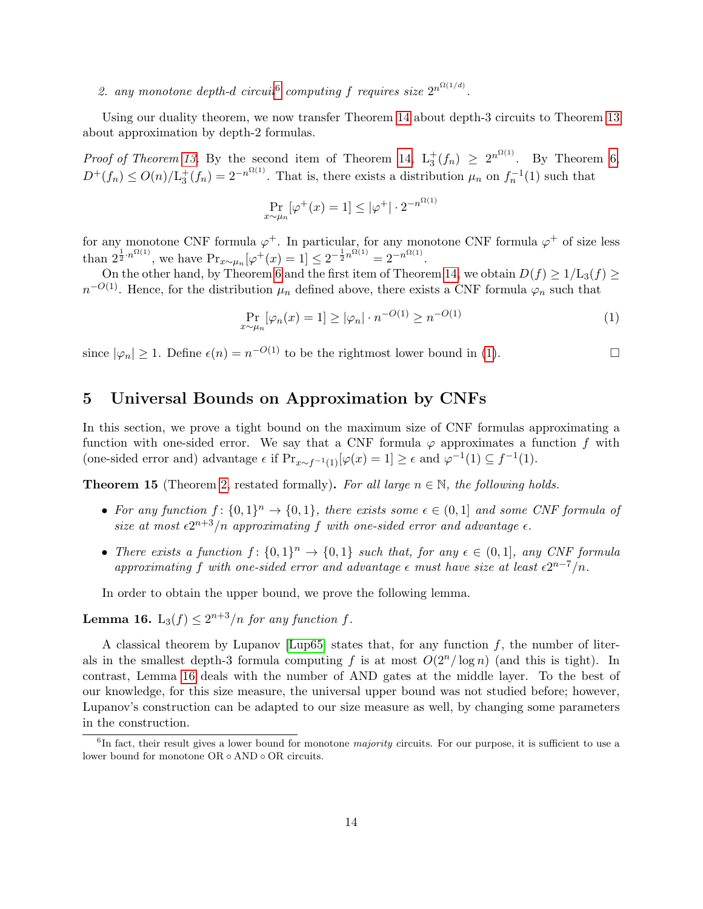# 2. any monotone depth-d circuit<sup>[6](#page-13-1)</sup> computing f requires size  $2^{n^{\Omega(1/d)}}$ .

Using our duality theorem, we now transfer Theorem [14](#page-12-1) about depth-3 circuits to Theorem [13](#page-12-2) about approximation by depth-2 formulas.

*Proof of Theorem [13.](#page-12-2)* By the second item of Theorem [14,](#page-12-1)  $L_3^+(f_n) \geq 2^{n^{\Omega(1)}}$ . By Theorem [6,](#page-8-1)  $D^+(f_n) \leq O(n)/L_3^+(f_n) = 2^{-n^{\Omega(1)}}$ . That is, there exists a distribution  $\mu_n$  on  $f_n^{-1}(1)$  such that

<span id="page-13-2"></span>
$$
\Pr_{x \sim \mu_n} [\varphi^+(x) = 1] \le |\varphi^+| \cdot 2^{-n^{\Omega(1)}}
$$

for any monotone CNF formula  $\varphi^+$ . In particular, for any monotone CNF formula  $\varphi^+$  of size less than  $2^{\frac{1}{2} \cdot n^{\Omega(1)}}$ , we have  $Pr_{x \sim \mu_n}[\varphi^+(x) = 1] \leq 2^{-\frac{1}{2} n^{\Omega(1)}} = 2^{-n^{\Omega(1)}}$ .

On the other hand, by Theorem [6](#page-8-1) and the first item of Theorem [14,](#page-12-1) we obtain  $D(f) \ge 1/\mathrm{L}_3(f) \ge$  $n^{-O(1)}$ . Hence, for the distribution  $\mu_n$  defined above, there exists a CNF formula  $\varphi_n$  such that

$$
\Pr_{x \sim \mu_n}[\varphi_n(x) = 1] \ge |\varphi_n| \cdot n^{-O(1)} \ge n^{-O(1)} \tag{1}
$$

since  $|\varphi_n| \geq 1$ . Define  $\epsilon(n) = n^{-O(1)}$  $\epsilon(n) = n^{-O(1)}$  $\epsilon(n) = n^{-O(1)}$  to be the rightmost lower bound in (1).

# <span id="page-13-0"></span>5 Universal Bounds on Approximation by CNFs

In this section, we prove a tight bound on the maximum size of CNF formulas approximating a function with one-sided error. We say that a CNF formula  $\varphi$  approximates a function f with (one-sided error and) advantage  $\epsilon$  if  $Pr_{x \sim f^{-1}(1)}[\varphi(x) = 1] \ge \epsilon$  and  $\varphi^{-1}(1) \subseteq f^{-1}(1)$ .

<span id="page-13-4"></span>**Theorem 15** (Theorem [2,](#page--1-8) restated formally). For all large  $n \in \mathbb{N}$ , the following holds.

- For any function  $f: \{0,1\}^n \to \{0,1\}$ , there exists some  $\epsilon \in (0,1]$  and some CNF formula of size at most  $\epsilon 2^{n+3}/n$  approximating f with one-sided error and advantage  $\epsilon$ .
- There exists a function  $f: \{0,1\}^n \to \{0,1\}$  such that, for any  $\epsilon \in (0,1]$ , any CNF formula approximating f with one-sided error and advantage  $\epsilon$  must have size at least  $\epsilon 2^{n-7}/n$ .

In order to obtain the upper bound, we prove the following lemma.

<span id="page-13-3"></span>**Lemma 16.** L<sub>3</sub>(*f*)  $\leq 2^{n+3}/n$  *for any function f.* 

A classical theorem by Lupanov [\[Lup65\]](#page-21-3) states that, for any function  $f$ , the number of literals in the smallest depth-3 formula computing f is at most  $O(2^n/\log n)$  (and this is tight). In contrast, Lemma [16](#page-13-3) deals with the number of AND gates at the middle layer. To the best of our knowledge, for this size measure, the universal upper bound was not studied before; however, Lupanov's construction can be adapted to our size measure as well, by changing some parameters in the construction.

<span id="page-13-1"></span><sup>&</sup>lt;sup>6</sup>In fact, their result gives a lower bound for monotone *majority* circuits. For our purpose, it is sufficient to use a lower bound for monotone OR ◦ AND ◦ OR circuits.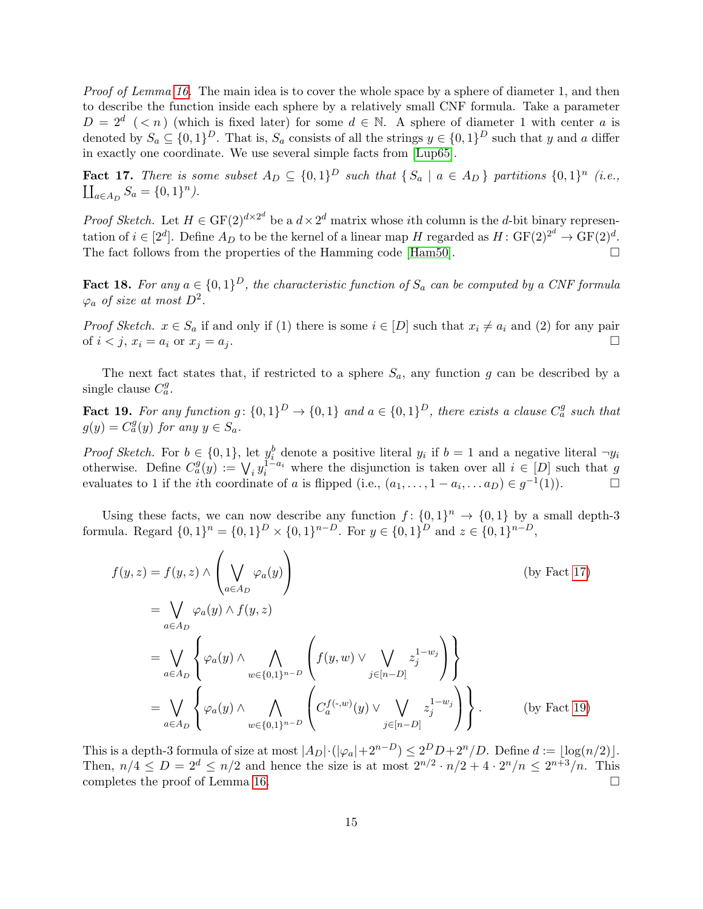Proof of Lemma [16.](#page-13-3) The main idea is to cover the whole space by a sphere of diameter 1, and then to describe the function inside each sphere by a relatively small CNF formula. Take a parameter  $D = 2^d$  (< n) (which is fixed later) for some  $d \in \mathbb{N}$ . A sphere of diameter 1 with center a is denoted by  $S_a \subseteq \{0,1\}^D$ . That is,  $S_a$  consists of all the strings  $y \in \{0,1\}^D$  such that y and a differ in exactly one coordinate. We use several simple facts from [\[Lup65\]](#page-21-3).

<span id="page-14-0"></span>**Fact 17.** There is some subset  $A_D \subseteq \{0,1\}^D$  such that  $\{S_a \mid a \in A_D\}$  partitions  $\{0,1\}^n$  (i.e.,  $\coprod_{a \in A_D} S_a = \{0, 1\}^n$ .

*Proof Sketch.* Let  $H \in \mathrm{GF}(2)^{d \times 2^d}$  be a  $d \times 2^d$  matrix whose *i*th column is the *d*-bit binary representation of  $i \in [2^d]$ . Define  $A_D$  to be the kernel of a linear map H regarded as  $H: GF(2)^{2^d} \to GF(2)^d$ . The fact follows from the properties of the Hamming code [\[Ham50\]](#page-20-15).  $\Box$ 

**Fact 18.** For any  $a \in \{0,1\}^D$ , the characteristic function of  $S_a$  can be computed by a CNF formula  $\varphi_a$  of size at most  $D^2$ .

*Proof Sketch.*  $x \in S_a$  if and only if (1) there is some  $i \in [D]$  such that  $x_i \neq a_i$  and (2) for any pair of  $i < j$ ,  $x_i = a_i$  or  $x_j = a_j$ .

The next fact states that, if restricted to a sphere  $S_a$ , any function g can be described by a single clause  $C_a^g$ .

<span id="page-14-1"></span>**Fact 19.** For any function  $g: \{0,1\}^D \to \{0,1\}$  and  $a \in \{0,1\}^D$ , there exists a clause  $C_a^g$  such that  $g(y) = C_a^g(y)$  for any  $y \in S_a$ .

*Proof Sketch.* For  $b \in \{0,1\}$ , let  $y_i^b$  denote a positive literal  $y_i$  if  $b = 1$  and a negative literal  $\neg y_i$ otherwise. Define  $C_a^g(y) := \bigvee_i y_i^{1-a_i}$  where the disjunction is taken over all  $i \in [D]$  such that g evaluates to 1 if the *i*th coordinate of a is flipped (i.e.,  $(a_1, \ldots, 1 - a_i, \ldots, a_D) \in g^{-1}$  $(1)$ ).  $\Box$ 

Using these facts, we can now describe any function  $f: \{0,1\}^n \to \{0,1\}$  by a small depth-3 formula. Regard  $\{0,1\}^n = \{0,1\}^D \times \{0,1\}^{n-D}$ . For  $y \in \{0,1\}^D$  and  $z \in \{0,1\}^{n-D}$ ,

$$
f(y, z) = f(y, z) \wedge \left(\bigvee_{a \in A_D} \varphi_a(y)\right)
$$
 (by Fact 17)  
\n
$$
= \bigvee_{a \in A_D} \varphi_a(y) \wedge f(y, z)
$$
  
\n
$$
= \bigvee_{a \in A_D} \left\{ \varphi_a(y) \wedge \bigwedge_{w \in \{0, 1\}^{n-D}} \left(f(y, w) \vee \bigvee_{j \in [n-D]} z_j^{1-w_j}\right) \right\}
$$
  
\n
$$
= \bigvee_{a \in A_D} \left\{ \varphi_a(y) \wedge \bigwedge_{w \in \{0, 1\}^{n-D}} \left(C_a^{f(\cdot, w)}(y) \vee \bigvee_{j \in [n-D]} z_j^{1-w_j}\right) \right\}.
$$
 (by Fact 19)

This is a depth-3 formula of size at most  $|A_D| \cdot (|\varphi_a| + 2^{n-D}) \leq 2^D D + 2^n/D$ . Define  $d := \lfloor \log(n/2) \rfloor$ . Then,  $n/4 \le D = 2^d \le n/2$  and hence the size is at most  $2^{n/2} \cdot n/2 + 4 \cdot 2^n/n \le 2^{n+3}/n$ . This completes the proof of Lemma [16.](#page-13-3)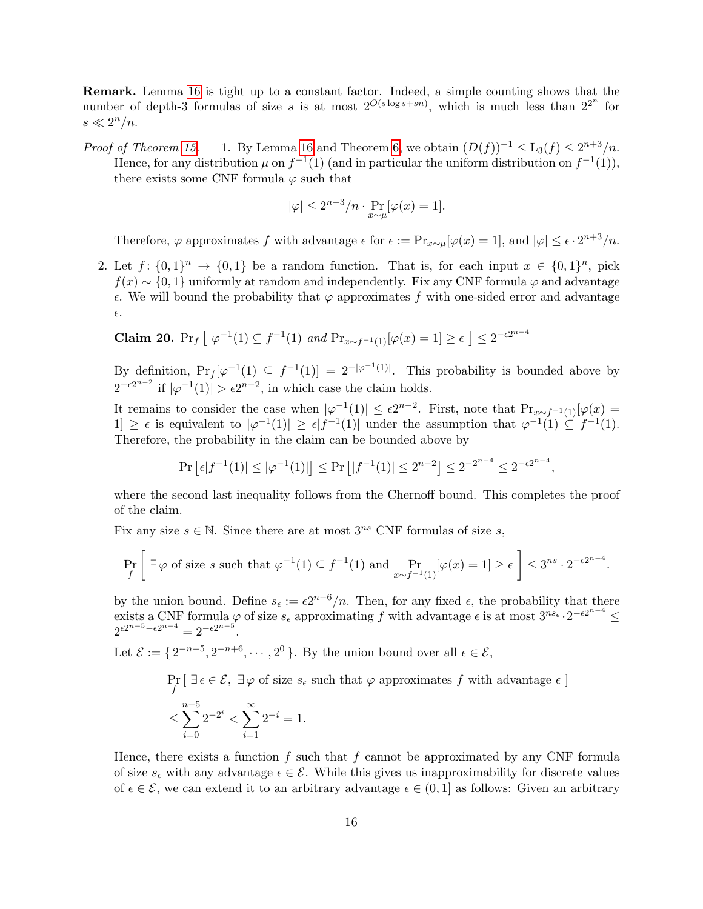Remark. Lemma [16](#page-13-3) is tight up to a constant factor. Indeed, a simple counting shows that the number of depth-3 formulas of size s is at most  $2^{O(s \log s + sn)}$ , which is much less than  $2^{2^n}$  for  $s \ll 2^n/n$ .

*Proof of Theorem [15.](#page-13-4)* 1. By Lemma [16](#page-13-3) and Theorem [6,](#page-8-1) we obtain  $(D(f))^{-1} \leq L_3(f) \leq 2^{n+3}/n$ . Hence, for any distribution  $\mu$  on  $f^{-1}(1)$  (and in particular the uniform distribution on  $f^{-1}(1)$ ), there exists some CNF formula  $\varphi$  such that

$$
|\varphi| \le 2^{n+3}/n \cdot \Pr_{x \sim \mu}[\varphi(x) = 1].
$$

Therefore,  $\varphi$  approximates f with advantage  $\epsilon$  for  $\epsilon := \Pr_{x \sim \mu}[\varphi(x) = 1]$ , and  $|\varphi| \leq \epsilon \cdot 2^{n+3}/n$ .

2. Let  $f: \{0,1\}^n \to \{0,1\}$  be a random function. That is, for each input  $x \in \{0,1\}^n$ , pick  $f(x) \sim \{0, 1\}$  uniformly at random and independently. Fix any CNF formula  $\varphi$  and advantage  $\epsilon$ . We will bound the probability that  $\varphi$  approximates f with one-sided error and advantage  $\epsilon$ .

**Claim 20.** Pr<sub>f</sub> 
$$
\left[\right. \varphi^{-1}(1) \subseteq f^{-1}(1) \text{ and } Pr_{x \sim f^{-1}(1)}[\varphi(x) = 1] \geq \epsilon \right] \leq 2^{-\epsilon 2^{n-4}}
$$

By definition,  $Pr_f[\varphi^{-1}(1) \subseteq f^{-1}(1)] = 2^{-|\varphi^{-1}(1)|}$ . This probability is bounded above by  $2^{-\epsilon 2^{n-2}}$  if  $|\varphi^{-1}(1)| > \epsilon 2^{n-2}$ , in which case the claim holds.

It remains to consider the case when  $|\varphi^{-1}(1)| \leq \epsilon 2^{n-2}$ . First, note that  $Pr_{x \sim f^{-1}(1)}[\varphi(x)]$  $|1| \geq \epsilon$  is equivalent to  $|\varphi^{-1}(1)| \geq \epsilon |f^{-1}(1)|$  under the assumption that  $\varphi^{-1}(1) \subseteq f^{-1}(1)$ . Therefore, the probability in the claim can be bounded above by

$$
\Pr\left[\epsilon|f^{-1}(1)| \le |\varphi^{-1}(1)|\right] \le \Pr\left[|f^{-1}(1)| \le 2^{n-2}\right] \le 2^{-2^{n-4}} \le 2^{-\epsilon 2^{n-4}},
$$

where the second last inequality follows from the Chernoff bound. This completes the proof of the claim.

Fix any size  $s \in \mathbb{N}$ . Since there are at most  $3^{ns}$  CNF formulas of size s,

$$
\Pr_f \left[ \exists \varphi \text{ of size } s \text{ such that } \varphi^{-1}(1) \subseteq f^{-1}(1) \text{ and } \Pr_{x \sim f^{-1}(1)}[\varphi(x) = 1] \ge \epsilon \right] \le 3^{ns} \cdot 2^{-\epsilon 2^{n-4}}.
$$

by the union bound. Define  $s_{\epsilon} := \epsilon 2^{n-6}/n$ . Then, for any fixed  $\epsilon$ , the probability that there exists a CNF formula  $\varphi$  of size  $s_{\epsilon}$  approximating f with advantage  $\epsilon$  is at most  $3^{ns_{\epsilon}} \cdot 2^{-\epsilon 2^{n-4}} \le$  $2^{\epsilon 2^{n-5} - \epsilon 2^{n-4}} = 2^{-\epsilon 2^{n-5}}$ .

Let  $\mathcal{E} := \{2^{-n+5}, 2^{-n+6}, \cdots, 2^0\}$ . By the union bound over all  $\epsilon \in \mathcal{E}$ ,

$$
\Pr_f \left[ \exists \epsilon \in \mathcal{E}, \exists \varphi \text{ of size } s_{\epsilon} \text{ such that } \varphi \text{ approximates } f \text{ with advantage } \epsilon \right]
$$
  

$$
\leq \sum_{i=0}^{n-5} 2^{-2^i} < \sum_{i=1}^{\infty} 2^{-i} = 1.
$$

Hence, there exists a function  $f$  such that  $f$  cannot be approximated by any CNF formula of size  $s_{\epsilon}$  with any advantage  $\epsilon \in \mathcal{E}$ . While this gives us inapproximability for discrete values of  $\epsilon \in \mathcal{E}$ , we can extend it to an arbitrary advantage  $\epsilon \in (0,1]$  as follows: Given an arbitrary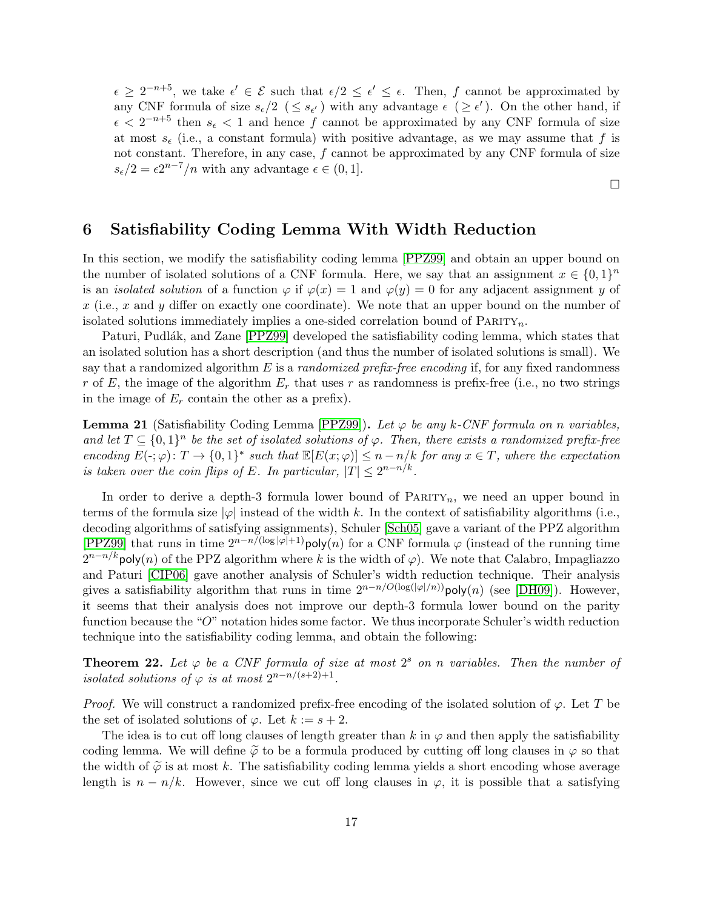$\epsilon \geq 2^{-n+5}$ , we take  $\epsilon' \in \mathcal{E}$  such that  $\epsilon/2 \leq \epsilon' \leq \epsilon$ . Then, f cannot be approximated by any CNF formula of size  $s_{\epsilon}/2 \leq s_{\epsilon'}$  with any advantage  $\epsilon \geq \epsilon'$ ). On the other hand, if  $\epsilon < 2^{-n+5}$  then  $s_{\epsilon} < 1$  and hence f cannot be approximated by any CNF formula of size at most  $s_{\epsilon}$  (i.e., a constant formula) with positive advantage, as we may assume that f is not constant. Therefore, in any case, f cannot be approximated by any CNF formula of size  $s_{\epsilon}/2 = \epsilon 2^{n-7}/n$  with any advantage  $\epsilon \in (0,1]$ .

 $\Box$ 

# <span id="page-16-0"></span>6 Satisfiability Coding Lemma With Width Reduction

In this section, we modify the satisfiability coding lemma [\[PPZ99\]](#page-21-5) and obtain an upper bound on the number of isolated solutions of a CNF formula. Here, we say that an assignment  $x \in \{0,1\}^n$ is an *isolated solution* of a function  $\varphi$  if  $\varphi(x) = 1$  and  $\varphi(y) = 0$  for any adjacent assignment y of  $x$  (i.e., x and y differ on exactly one coordinate). We note that an upper bound on the number of isolated solutions immediately implies a one-sided correlation bound of  $\text{PARTY}_n$ .

Paturi, Pudlák, and Zane [\[PPZ99\]](#page-21-5) developed the satisfiability coding lemma, which states that an isolated solution has a short description (and thus the number of isolated solutions is small). We say that a randomized algorithm E is a *randomized prefix-free encoding* if, for any fixed randomness r of E, the image of the algorithm  $E_r$  that uses r as randomness is prefix-free (i.e., no two strings in the image of  $E_r$  contain the other as a prefix).

<span id="page-16-1"></span>**Lemma 21** (Satisfiability Coding Lemma [\[PPZ99\]](#page-21-5)). Let  $\varphi$  be any k-CNF formula on n variables, and let  $T \subseteq \{0,1\}^n$  be the set of isolated solutions of  $\varphi$ . Then, there exists a randomized prefix-free encoding  $E(\cdot;\varphi): T \to \{0,1\}^*$  such that  $\mathbb{E}[E(x;\varphi)] \leq n - n/k$  for any  $x \in T$ , where the expectation is taken over the coin flips of E. In particular,  $|T| \leq 2^{n-n/k}$ .

In order to derive a depth-3 formula lower bound of  $\text{PARTY}_n$ , we need an upper bound in terms of the formula size  $|\varphi|$  instead of the width k. In the context of satisfiability algorithms (i.e., decoding algorithms of satisfying assignments), Schuler [\[Sch05\]](#page--1-4) gave a variant of the PPZ algorithm [\[PPZ99\]](#page-21-5) that runs in time  $2^{n-n/(\log |\varphi|+1)}$ poly(n) for a CNF formula  $\varphi$  (instead of the running time  $2^{n-n/k}$ poly $(n)$  of the PPZ algorithm where k is the width of  $\varphi$ ). We note that Calabro, Impagliazzo and Paturi [\[CIP06\]](#page-19-4) gave another analysis of Schuler's width reduction technique. Their analysis gives a satisfiability algorithm that runs in time  $2^{n-n/O(\log(|\varphi|/n))}$ poly $(n)$  (see [\[DH09\]](#page-19-9)). However, it seems that their analysis does not improve our depth-3 formula lower bound on the parity function because the "O" notation hides some factor. We thus incorporate Schuler's width reduction technique into the satisfiability coding lemma, and obtain the following:

<span id="page-16-2"></span>**Theorem 22.** Let  $\varphi$  be a CNF formula of size at most  $2^s$  on n variables. Then the number of isolated solutions of  $\varphi$  is at most  $2^{n-n/(s+2)+1}$ .

*Proof.* We will construct a randomized prefix-free encoding of the isolated solution of  $\varphi$ . Let T be the set of isolated solutions of  $\varphi$ . Let  $k := s + 2$ .

The idea is to cut off long clauses of length greater than k in  $\varphi$  and then apply the satisfiability coding lemma. We will define  $\tilde{\varphi}$  to be a formula produced by cutting off long clauses in  $\varphi$  so that the width of  $\tilde{\varphi}$  is at most k. The satisfiability coding lemma yields a short encoding whose average length is  $n - n/k$ . However, since we cut off long clauses in  $\varphi$ , it is possible that a satisfying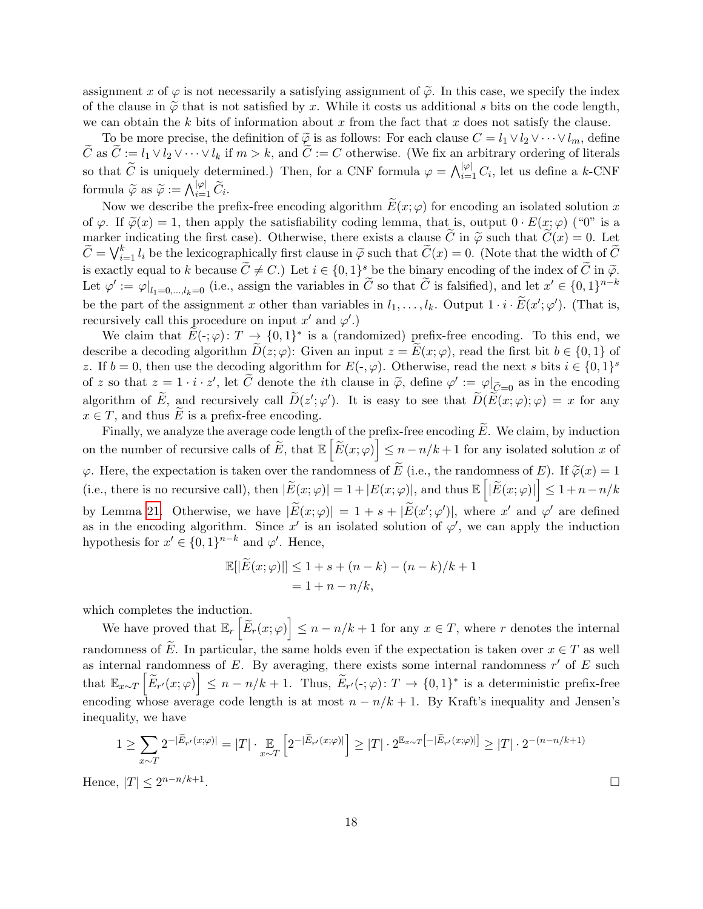assignment x of  $\varphi$  is not necessarily a satisfying assignment of  $\tilde{\varphi}$ . In this case, we specify the index of the clause in  $\tilde{\varphi}$  that is not satisfied by x. While it costs us additional s bits on the code length, we can obtain the k bits of information about x from the fact that x does not satisfy the clause.

To be more precise, the definition of  $\tilde{\varphi}$  is as follows: For each clause  $C = l_1 \vee l_2 \vee \cdots \vee l_m$ , define  $\tilde{C}$  as  $\tilde{C} := l_1 \vee l_2 \vee \cdots \vee l_k$  if  $m > k$ , and  $\tilde{C} := C$  otherwise. (We fix an arbitrary ordering of literals so that  $\widetilde{C}$  is uniquely determined.) Then, for a CNF formula  $\varphi = \bigwedge_{i=1}^{|\varphi|} C_i$ , let us define a k-CNF formula  $\widetilde{\varphi}$  as  $\widetilde{\varphi} := \bigwedge_{i=1}^{|\varphi|} \widetilde{C}_i$ .

Now we describe the prefix-free encoding algorithm  $\widetilde{E}(x; \varphi)$  for encoding an isolated solution x of  $\varphi$ . If  $\tilde{\varphi}(x) = 1$ , then apply the satisfiability coding lemma, that is, output  $0 \cdot E(x; \varphi)$  ("0" is a marker indicating the first case). Otherwise, there exists a clause C in  $\tilde{\varphi}$  such that  $\tilde{C}(x) = 0$ . Let  $\widetilde{C} = \bigvee_{i=1}^{k} l_i$  be the lexicographically first clause in  $\widetilde{\varphi}$  such that  $\widetilde{C}(x) = 0$ . (Note that the width of  $\widetilde{C}$ is exactly equal to k because  $\widetilde{C} \neq C$ .) Let  $i \in \{0,1\}^s$  be the binary encoding of the index of  $\widetilde{C}$  in  $\widetilde{\varphi}$ . Let  $\varphi' := \varphi|_{l_1=0,\dots,l_k=0}$  (i.e., assign the variables in  $\widetilde{C}$  so that  $\widetilde{C}$  is falsified), and let  $x' \in \{0,1\}^{n-k}$ be the part of the assignment x other than variables in  $l_1, \ldots, l_k$ . Output  $1 \cdot i \cdot \widetilde{E}(x'; \varphi')$ . (That is, recursively call this procedure on input  $x'$  and  $\varphi'$ .)

We claim that  $\widetilde{E}(\cdot;\varphi):T \to \{0,1\}^*$  is a (randomized) prefix-free encoding. To this end, we describe a decoding algorithm  $D(z; \varphi)$ : Given an input  $z = E(x; \varphi)$ , read the first bit  $b \in \{0, 1\}$  of z. If  $b = 0$ , then use the decoding algorithm for  $E(\cdot, \varphi)$ . Otherwise, read the next s bits  $i \in \{0, 1\}^s$ of z so that  $z = 1 \cdot i \cdot z'$ , let  $\widetilde{C}$  denote the *i*th clause in  $\widetilde{\varphi}$ , define  $\varphi' := \varphi|_{\widetilde{C} = 0}$  as in the encoding algorithm of  $\widetilde{E}$ , and recursively call  $\widetilde{D}(z';\varphi')$ . It is easy to see that  $\widetilde{D}(\widetilde{E}(x;\varphi);\varphi) = x$  for any  $x \in T$ , and thus E is a prefix-free encoding.

Finally, we analyze the average code length of the prefix-free encoding  $\widetilde{E}$ . We claim, by induction on the number of recursive calls of  $\widetilde{E}$ , that  $\mathbb{E}\left[\widetilde{E}(x;\varphi)\right] \leq n - n/k + 1$  for any isolated solution x of  $\varphi$ . Here, the expectation is taken over the randomness of  $\widetilde{E}$  (i.e., the randomness of  $E$ ). If  $\widetilde{\varphi}(x) = 1$ (i.e., there is no recursive call), then  $|\widetilde{E}(x; \varphi)| = 1 + |E(x; \varphi)|$ , and thus  $\mathbb{E}\left[|\widetilde{E}(x; \varphi)|\right] \leq 1 + n - n/k$ by Lemma [21.](#page-16-1) Otherwise, we have  $|\widetilde{E}(x;\varphi)| = 1 + s + |\widetilde{E}(x';\varphi')|$ , where x' and  $\varphi'$  are defined as in the encoding algorithm. Since x' is an isolated solution of  $\varphi'$ , we can apply the induction hypothesis for  $x' \in \{0,1\}^{n-k}$  and  $\varphi'$ . Hence,

$$
\mathbb{E}[|\widetilde{E}(x; \varphi)|] \le 1 + s + (n - k) - (n - k)/k + 1
$$
  
= 1 + n - n/k,

which completes the induction.

We have proved that  $\mathbb{E}_r \left[ \tilde{E}_r(x; \varphi) \right] \leq n - n/k + 1$  for any  $x \in T$ , where r denotes the internal randomness of E. In particular, the same holds even if the expectation is taken over  $x \in T$  as well as internal randomness of  $E$ . By averaging, there exists some internal randomness  $r'$  of  $E$  such that  $\mathbb{E}_{x \sim T} \left[ \widetilde{E}_{r'}(x; \varphi) \right] \leq n - n/k + 1$ . Thus,  $\widetilde{E}_{r'}(\cdot; \varphi)$ :  $T \to \{0, 1\}^*$  is a deterministic prefix-free encoding whose average code length is at most  $n - n/k + 1$ . By Kraft's inequality and Jensen's inequality, we have

$$
1 \geq \sum_{x \sim T} 2^{-|\widetilde{E}_{r'}(x;\varphi)|} = |T| \cdot \mathop{\mathbb{E}}_{x \sim T} \left[ 2^{-|\widetilde{E}_{r'}(x;\varphi)|} \right] \geq |T| \cdot 2^{\mathop{\mathbb{E}}_{x \sim T} \left[ -|\widetilde{E}_{r'}(x;\varphi)| \right]} \geq |T| \cdot 2^{-(n-n/k+1)},
$$
  

$$
|T| \leq 2^{n-n/k+1}.
$$

Hence,  $|T| \leq 2^{n-n/k+1}$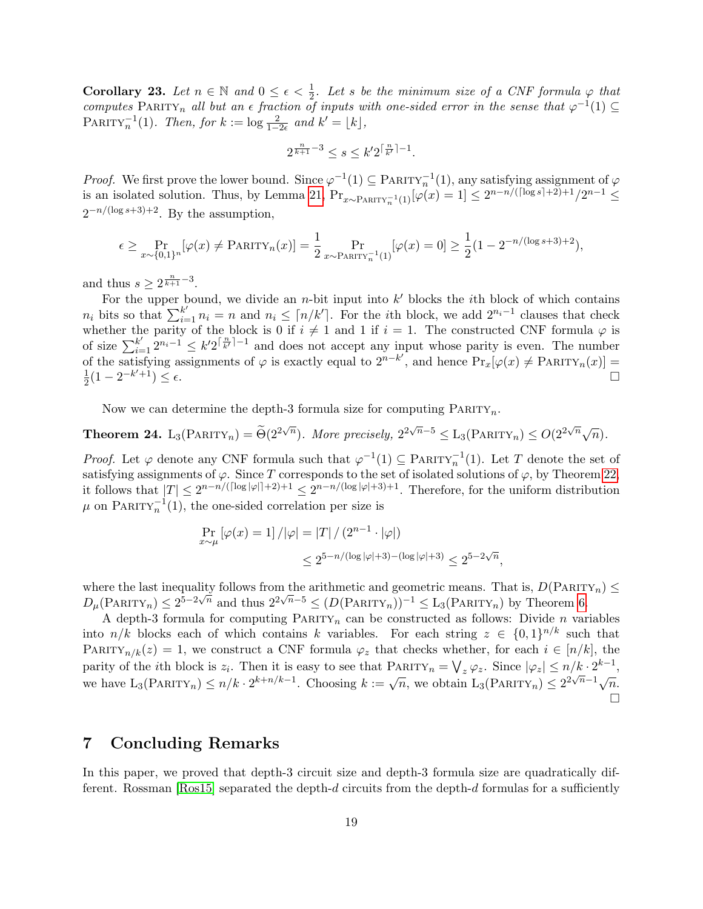**Corollary 23.** Let  $n \in \mathbb{N}$  and  $0 \leq \epsilon < \frac{1}{2}$ . Let s be the minimum size of a CNF formula  $\varphi$  that computes PARITY<sub>n</sub> all but an  $\epsilon$  fraction of inputs with one-sided error in the sense that  $\varphi^{-1}(1) \subseteq$ PARITY<sup>-1</sup>(1). Then, for  $k := \log \frac{2}{1-2\epsilon}$  and  $k' = \lfloor k \rfloor$ ,

$$
2^{\frac{n}{k+1}-3} \le s \le k' 2^{\lceil \frac{n}{k'} \rceil - 1}.
$$

*Proof.* We first prove the lower bound. Since  $\varphi^{-1}(1) \subseteq \text{PARTY}_n^{-1}(1)$ , any satisfying assignment of  $\varphi$ is an isolated solution. Thus, by Lemma [21,](#page-16-1)  $Pr_{x \sim \text{PARTY}_n^{-1}(1)}[\varphi(x) = 1] \leq 2^{n-n/(\lceil \log s \rceil + 2) + 1}/2^{n-1} \leq$  $2^{-n/(\log s+3)+2}$ . By the assumption,

$$
\epsilon \ge \Pr_{x \sim \{0,1\}^n} [\varphi(x) \ne \text{PARITY}_n(x)] = \frac{1}{2} \Pr_{x \sim \text{PARITY}_n^{-1}(1)} [\varphi(x) = 0] \ge \frac{1}{2} (1 - 2^{-n/(\log s + 3) + 2}),
$$

and thus  $s \geq 2^{\frac{n}{k+1}-3}$ .

For the upper bound, we divide an *n*-bit input into  $k'$  blocks the *i*th block of which contains  $n_i$  bits so that  $\sum_{i=1}^{k'} n_i = n$  and  $n_i \leq \lceil n/k' \rceil$ . For the *i*th block, we add  $2^{n_i-1}$  clauses that check whether the parity of the block is 0 if  $i \neq 1$  and 1 if  $i = 1$ . The constructed CNF formula  $\varphi$  is of size  $\sum_{i=1}^{k'} 2^{n_i-1} \leq k' 2^{\lceil \frac{n}{k'} \rceil-1}$  and does not accept any input whose parity is even. The number of the satisfying assignments of  $\varphi$  is exactly equal to  $2^{n-k'}$ , and hence  $Pr_x[\varphi(x) \neq PARTY_n(x)] =$ 1  $\frac{1}{2}(1-2^{-k})$  $\left( \frac{1}{1+1}\right) \leq \epsilon.$ 

Now we can determine the depth-3 formula size for computing  $\text{PARTY}_n$ .

**Theorem 24.** L<sub>3</sub>(PARITY<sub>n</sub>) =  $\widetilde{\Theta}(2^{2\sqrt{n}})$ . More precisely,  $2^{2\sqrt{n}-5} \leq L_3(PARITY_n) \leq O(2^{2\sqrt{n}}\sqrt{n})$ .

*Proof.* Let  $\varphi$  denote any CNF formula such that  $\varphi^{-1}(1) \subseteq \text{PARTY}_n^{-1}(1)$ . Let T denote the set of satisfying assignments of  $\varphi$ . Since T corresponds to the set of isolated solutions of  $\varphi$ , by Theorem [22,](#page-16-2) it follows that  $|T| \leq 2^{n-n/(\lceil \log |\varphi| \rceil + 2) + 1} \leq 2^{n-n/(\log |\varphi| + 3) + 1}$ . Therefore, for the uniform distribution  $\mu$  on PARITY<sub>n</sub><sup>-1</sup>(1), the one-sided correlation per size is

$$
\Pr_{x \sim \mu} [\varphi(x) = 1] / |\varphi| = |T| / (2^{n-1} \cdot |\varphi|)
$$
  

$$
\leq 2^{5-n/(\log |\varphi|+3) - (\log |\varphi|+3)} \leq 2^{5-2\sqrt{n}},
$$

where the last inequality follows from the arithmetic and geometric means. That is,  $D(PARTY_n) \leq$ where the last mequality follows from the arritmetic and geometric means. That is,  $D(1)$  AKIT $D_{\mu}(\text{PARTY}_n) \leq 2^{5-2\sqrt{n}}$  and thus  $2^{2\sqrt{n}-5} \leq (D(\text{PARTY}_n))^{-1} \leq L_3(\text{PARTY}_n)$  by Theorem [6.](#page-8-1)

A depth-3 formula for computing  $\text{PARTY}_n$  can be constructed as follows: Divide n variables into  $n/k$  blocks each of which contains k variables. For each string  $z \in \{0,1\}^{n/k}$  such that PARITY<sub>n/k</sub>(z) = 1, we construct a CNF formula  $\varphi_z$  that checks whether, for each  $i \in [n/k]$ , the parity of the *i*th block is  $z_i$ . Then it is easy to see that  $\text{PARTY}_n = \bigvee_z \varphi_z$ . Since  $|\varphi_z| \le n/k \cdot 2^{k-1}$ , we have  $L_3(PARITY_n) \le n/k \cdot 2^{k+n/k-1}$ . Choosing  $k := \sqrt{n}$ , we obtain  $L_3(PARITY_n) \le 2^{2\sqrt{n}-1}\sqrt{n}$ .  $\Box$ 

# <span id="page-18-0"></span>7 Concluding Remarks

In this paper, we proved that depth-3 circuit size and depth-3 formula size are quadratically dif-ferent. Rossman [\[Ros15\]](#page-21-11) separated the depth-d circuits from the depth-d formulas for a sufficiently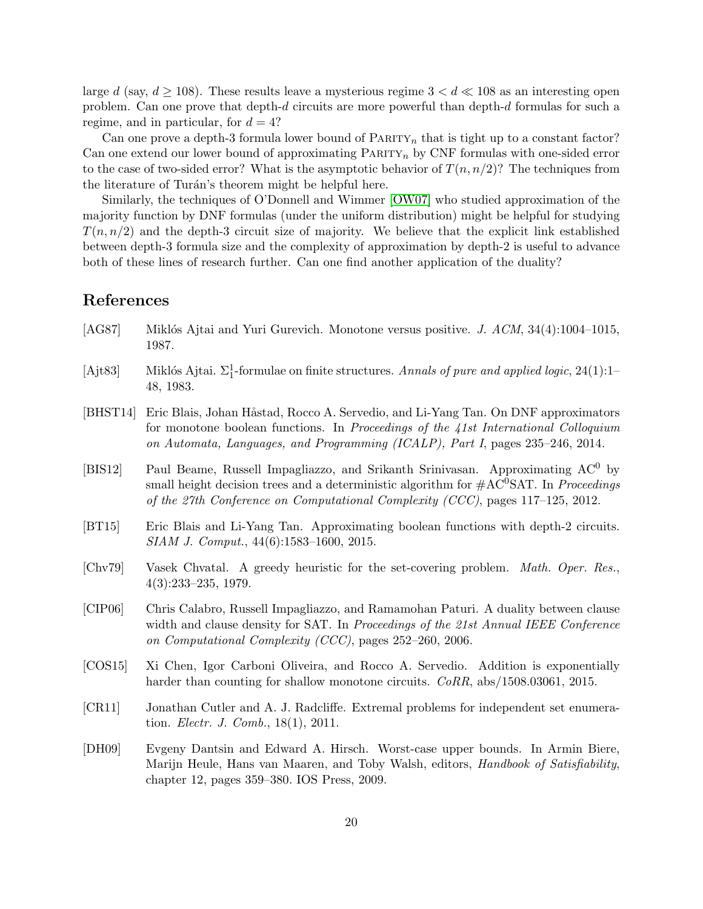large d (say,  $d \ge 108$ ). These results leave a mysterious regime  $3 < d \ll 108$  as an interesting open problem. Can one prove that depth-d circuits are more powerful than depth-d formulas for such a regime, and in particular, for  $d = 4$ ?

Can one prove a depth-3 formula lower bound of  $\text{PARITY}_n$  that is tight up to a constant factor? Can one extend our lower bound of approximating  $\text{PARTY}_n$  by CNF formulas with one-sided error to the case of two-sided error? What is the asymptotic behavior of  $T(n, n/2)$ ? The techniques from the literature of Turán's theorem might be helpful here.

Similarly, the techniques of O'Donnell and Wimmer [\[OW07\]](#page-21-0) who studied approximation of the majority function by DNF formulas (under the uniform distribution) might be helpful for studying  $T(n, n/2)$  and the depth-3 circuit size of majority. We believe that the explicit link established between depth-3 formula size and the complexity of approximation by depth-2 is useful to advance both of these lines of research further. Can one find another application of the duality?

## References

- <span id="page-19-8"></span>[AG87] Miklós Ajtai and Yuri Gurevich. Monotone versus positive. *J. ACM*,  $34(4):1004-1015$ , 1987.
- <span id="page-19-2"></span>[Ajt83] Miklós Ajtai.  $\Sigma^1_1$ -formulae on finite structures. Annals of pure and applied logic, 24(1):1– 48, 1983.
- <span id="page-19-1"></span>[BHST14] Eric Blais, Johan Håstad, Rocco A. Servedio, and Li-Yang Tan. On DNF approximators for monotone boolean functions. In Proceedings of the 41st International Colloquium on Automata, Languages, and Programming (ICALP), Part I, pages 235–246, 2014.
- <span id="page-19-5"></span>[BIS12] Paul Beame, Russell Impagliazzo, and Srikanth Srinivasan. Approximating AC<sup>0</sup> by small height decision trees and a deterministic algorithm for  $\#AC^0SAT$ . In *Proceedings* of the 27th Conference on Computational Complexity (CCC), pages 117–125, 2012.
- <span id="page-19-0"></span>[BT15] Eric Blais and Li-Yang Tan. Approximating boolean functions with depth-2 circuits. SIAM J. Comput., 44(6):1583–1600, 2015.
- <span id="page-19-6"></span>[Chv79] Vasek Chvatal. A greedy heuristic for the set-covering problem. Math. Oper. Res., 4(3):233–235, 1979.
- <span id="page-19-4"></span>[CIP06] Chris Calabro, Russell Impagliazzo, and Ramamohan Paturi. A duality between clause width and clause density for SAT. In *Proceedings of the 21st Annual IEEE Conference* on Computational Complexity (CCC), pages 252–260, 2006.
- <span id="page-19-3"></span>[COS15] Xi Chen, Igor Carboni Oliveira, and Rocco A. Servedio. Addition is exponentially harder than counting for shallow monotone circuits.  $CoRR$ , abs/1508.03061, 2015.
- <span id="page-19-7"></span>[CR11] Jonathan Cutler and A. J. Radcliffe. Extremal problems for independent set enumeration. Electr. J. Comb., 18(1), 2011.
- <span id="page-19-9"></span>[DH09] Evgeny Dantsin and Edward A. Hirsch. Worst-case upper bounds. In Armin Biere, Marijn Heule, Hans van Maaren, and Toby Walsh, editors, Handbook of Satisfiability, chapter 12, pages 359–380. IOS Press, 2009.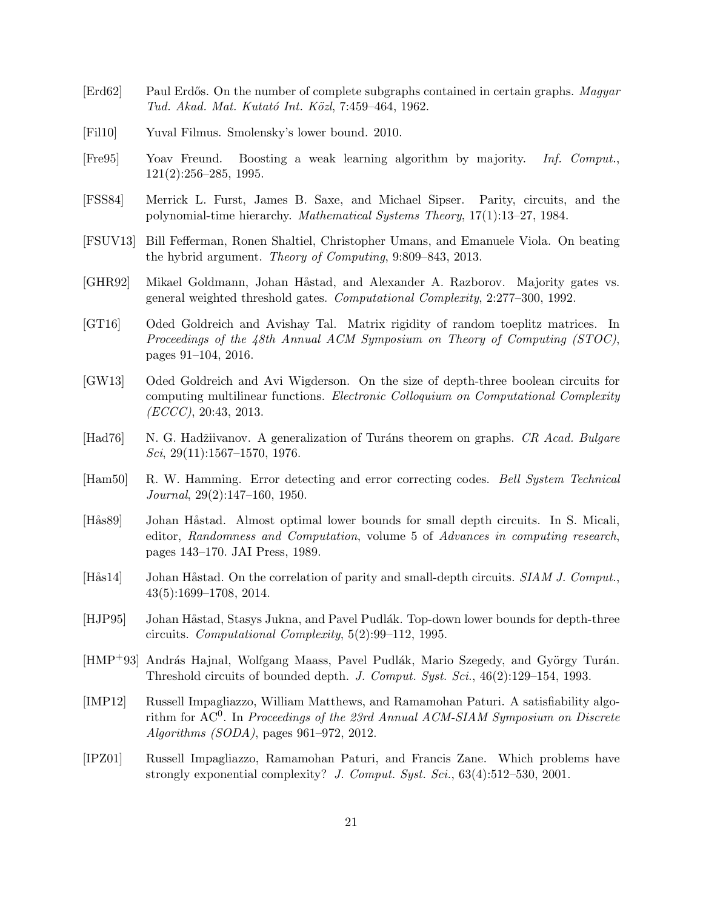- <span id="page-20-13"></span>[Erd62] Paul Erdős. On the number of complete subgraphs contained in certain graphs. Magyar Tud. Akad. Mat. Kutató Int. Közl, 7:459–464, 1962.
- <span id="page-20-11"></span>[Fil10] Yuval Filmus. Smolensky's lower bound. 2010.
- <span id="page-20-8"></span>[Fre95] Yoav Freund. Boosting a weak learning algorithm by majority. Inf. Comput., 121(2):256–285, 1995.
- <span id="page-20-0"></span>[FSS84] Merrick L. Furst, James B. Saxe, and Michael Sipser. Parity, circuits, and the polynomial-time hierarchy. Mathematical Systems Theory, 17(1):13–27, 1984.
- <span id="page-20-12"></span>[FSUV13] Bill Fefferman, Ronen Shaltiel, Christopher Umans, and Emanuele Viola. On beating the hybrid argument. Theory of Computing, 9:809–843, 2013.
- <span id="page-20-7"></span>[GHR92] Mikael Goldmann, Johan Håstad, and Alexander A. Razborov. Majority gates vs. general weighted threshold gates. Computational Complexity, 2:277–300, 1992.
- <span id="page-20-5"></span>[GT16] Oded Goldreich and Avishay Tal. Matrix rigidity of random toeplitz matrices. In Proceedings of the 48th Annual ACM Symposium on Theory of Computing (STOC), pages 91–104, 2016.
- <span id="page-20-4"></span>[GW13] Oded Goldreich and Avi Wigderson. On the size of depth-three boolean circuits for computing multilinear functions. Electronic Colloquium on Computational Complexity (ECCC), 20:43, 2013.
- <span id="page-20-14"></span>[Had76] N. G. Hadžiivanov. A generalization of Turáns theorem on graphs. CR Acad. Bulgare Sci, 29(11):1567–1570, 1976.
- <span id="page-20-15"></span>[Ham50] R. W. Hamming. Error detecting and error correcting codes. Bell System Technical Journal, 29(2):147–160, 1950.
- <span id="page-20-1"></span>[Hås89] Johan Håstad. Almost optimal lower bounds for small depth circuits. In S. Micali, editor, Randomness and Computation, volume 5 of Advances in computing research, pages 143–170. JAI Press, 1989.
- <span id="page-20-9"></span>[Hås14] Johan Håstad. On the correlation of parity and small-depth circuits. SIAM J. Comput., 43(5):1699–1708, 2014.
- <span id="page-20-2"></span>[HJP95] Johan Håstad, Stasys Jukna, and Pavel Pudlák. Top-down lower bounds for depth-three circuits. Computational Complexity, 5(2):99–112, 1995.
- <span id="page-20-6"></span>[HMP<sup>+93]</sup> András Hajnal, Wolfgang Maass, Pavel Pudlák, Mario Szegedy, and György Turán. Threshold circuits of bounded depth. J. Comput. Syst. Sci., 46(2):129–154, 1993.
- <span id="page-20-10"></span>[IMP12] Russell Impagliazzo, William Matthews, and Ramamohan Paturi. A satisfiability algorithm for  $AC^0$ . In Proceedings of the 23rd Annual ACM-SIAM Symposium on Discrete Algorithms (SODA), pages 961–972, 2012.
- <span id="page-20-3"></span>[IPZ01] Russell Impagliazzo, Ramamohan Paturi, and Francis Zane. Which problems have strongly exponential complexity? J. Comput. Syst. Sci., 63(4):512-530, 2001.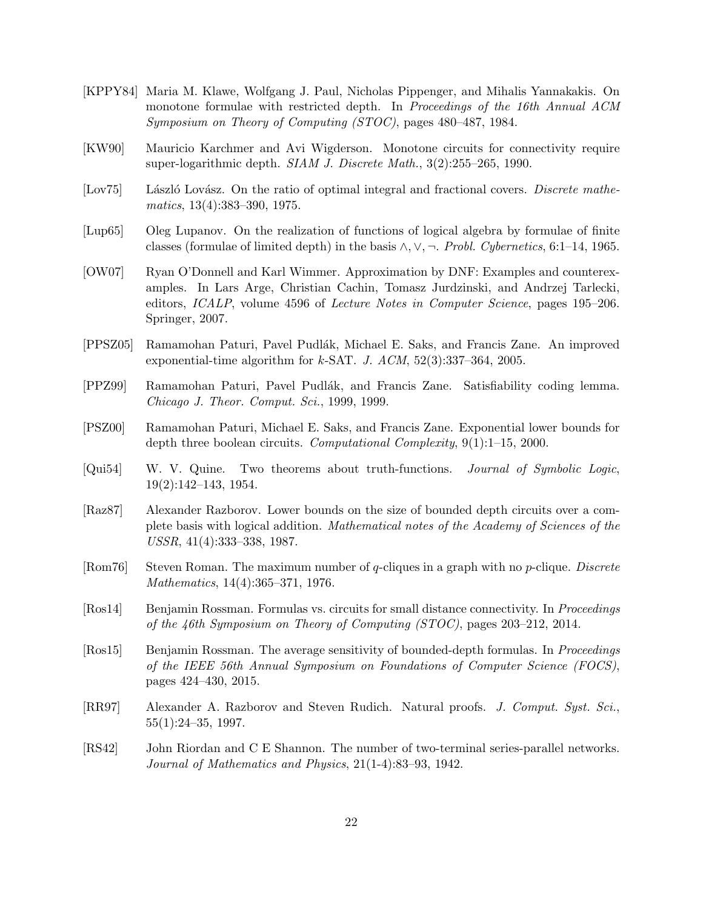- <span id="page-21-12"></span>[KPPY84] Maria M. Klawe, Wolfgang J. Paul, Nicholas Pippenger, and Mihalis Yannakakis. On monotone formulae with restricted depth. In Proceedings of the 16th Annual ACM Symposium on Theory of Computing (STOC), pages 480–487, 1984.
- <span id="page-21-9"></span>[KW90] Mauricio Karchmer and Avi Wigderson. Monotone circuits for connectivity require super-logarithmic depth. SIAM J. Discrete Math., 3(2):255–265, 1990.
- <span id="page-21-13"></span>[Lov75] László Lovász. On the ratio of optimal integral and fractional covers. Discrete mathematics, 13(4):383–390, 1975.
- <span id="page-21-3"></span>[Lup65] Oleg Lupanov. On the realization of functions of logical algebra by formulae of finite classes (formulae of limited depth) in the basis  $\wedge$ ,  $\vee$ ,  $\neg$ . *Probl. Cybernetics*, 6:1–14, 1965.
- <span id="page-21-0"></span>[OW07] Ryan O'Donnell and Karl Wimmer. Approximation by DNF: Examples and counterexamples. In Lars Arge, Christian Cachin, Tomasz Jurdzinski, and Andrzej Tarlecki, editors, ICALP, volume 4596 of Lecture Notes in Computer Science, pages 195–206. Springer, 2007.
- <span id="page-21-7"></span>[PPSZ05] Ramamohan Paturi, Pavel Pudl´ak, Michael E. Saks, and Francis Zane. An improved exponential-time algorithm for  $k$ -SAT. J.  $ACM$ ,  $52(3):337-364$ ,  $2005$ .
- <span id="page-21-5"></span>[PPZ99] Ramamohan Paturi, Pavel Pudl´ak, and Francis Zane. Satisfiability coding lemma. Chicago J. Theor. Comput. Sci., 1999, 1999.
- <span id="page-21-6"></span>[PSZ00] Ramamohan Paturi, Michael E. Saks, and Francis Zane. Exponential lower bounds for depth three boolean circuits. Computational Complexity, 9(1):1–15, 2000.
- <span id="page-21-1"></span>[Qui54] W. V. Quine. Two theorems about truth-functions. Journal of Symbolic Logic, 19(2):142–143, 1954.
- <span id="page-21-4"></span>[Raz87] Alexander Razborov. Lower bounds on the size of bounded depth circuits over a complete basis with logical addition. Mathematical notes of the Academy of Sciences of the USSR, 41(4):333–338, 1987.
- <span id="page-21-14"></span>[Rom76] Steven Roman. The maximum number of q-cliques in a graph with no  $p$ -clique. Discrete Mathematics, 14(4):365–371, 1976.
- <span id="page-21-10"></span>[Ros14] Benjamin Rossman. Formulas vs. circuits for small distance connectivity. In Proceedings of the 46th Symposium on Theory of Computing (STOC), pages 203–212, 2014.
- <span id="page-21-11"></span>[Ros15] Benjamin Rossman. The average sensitivity of bounded-depth formulas. In Proceedings of the IEEE 56th Annual Symposium on Foundations of Computer Science (FOCS), pages 424–430, 2015.
- <span id="page-21-8"></span>[RR97] Alexander A. Razborov and Steven Rudich. Natural proofs. J. Comput. Syst. Sci., 55(1):24–35, 1997.
- <span id="page-21-2"></span>[RS42] John Riordan and C E Shannon. The number of two-terminal series-parallel networks. Journal of Mathematics and Physics, 21(1-4):83–93, 1942.